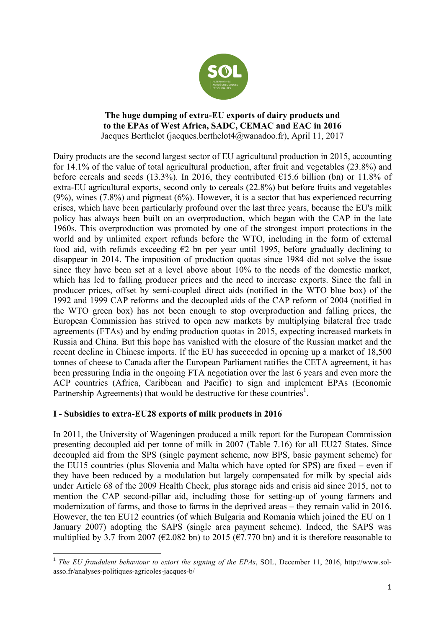

## **The huge dumping of extra-EU exports of dairy products and to the EPAs of West Africa, SADC, CEMAC and EAC in 2016** Jacques Berthelot (jacques.berthelot4@wanadoo.fr), April 11, 2017

Dairy products are the second largest sector of EU agricultural production in 2015, accounting for 14.1% of the value of total agricultural production, after fruit and vegetables (23.8%) and before cereals and seeds (13.3%). In 2016, they contributed  $\epsilon$ 15.6 billion (bn) or 11.8% of extra-EU agricultural exports, second only to cereals (22.8%) but before fruits and vegetables (9%), wines (7.8%) and pigmeat (6%). However, it is a sector that has experienced recurring crises, which have been particularly profound over the last three years, because the EU's milk policy has always been built on an overproduction, which began with the CAP in the late 1960s. This overproduction was promoted by one of the strongest import protections in the world and by unlimited export refunds before the WTO, including in the form of external food aid, with refunds exceeding  $\epsilon$ 2 bn per year until 1995, before gradually declining to disappear in 2014. The imposition of production quotas since 1984 did not solve the issue since they have been set at a level above about 10% to the needs of the domestic market, which has led to falling producer prices and the need to increase exports. Since the fall in producer prices, offset by semi-coupled direct aids (notified in the WTO blue box) of the 1992 and 1999 CAP reforms and the decoupled aids of the CAP reform of 2004 (notified in the WTO green box) has not been enough to stop overproduction and falling prices, the European Commission has strived to open new markets by multiplying bilateral free trade agreements (FTAs) and by ending production quotas in 2015, expecting increased markets in Russia and China. But this hope has vanished with the closure of the Russian market and the recent decline in Chinese imports. If the EU has succeeded in opening up a market of 18,500 tonnes of cheese to Canada after the European Parliament ratifies the CETA agreement, it has been pressuring India in the ongoing FTA negotiation over the last 6 years and even more the ACP countries (Africa, Caribbean and Pacific) to sign and implement EPAs (Economic Partnership Agreements) that would be destructive for these countries<sup>1</sup>.

## **I - Subsidies to extra-EU28 exports of milk products in 2016**

 

In 2011, the University of Wageningen produced a milk report for the European Commission presenting decoupled aid per tonne of milk in 2007 (Table 7.16) for all EU27 States. Since decoupled aid from the SPS (single payment scheme, now BPS, basic payment scheme) for the EU15 countries (plus Slovenia and Malta which have opted for SPS) are fixed – even if they have been reduced by a modulation but largely compensated for milk by special aids under Article 68 of the 2009 Health Check, plus storage aids and crisis aid since 2015, not to mention the CAP second-pillar aid, including those for setting-up of young farmers and modernization of farms, and those to farms in the deprived areas – they remain valid in 2016. However, the ten EU12 countries (of which Bulgaria and Romania which joined the EU on 1 January 2007) adopting the SAPS (single area payment scheme). Indeed, the SAPS was multiplied by 3.7 from 2007 ( $\epsilon$ 2.082 bn) to 2015 ( $\epsilon$ 7.770 bn) and it is therefore reasonable to

<sup>&</sup>lt;sup>1</sup> The EU fraudulent behaviour to extort the signing of the EPAs, SOL, December 11, 2016, http://www.solasso.fr/analyses-politiques-agricoles-jacques-b/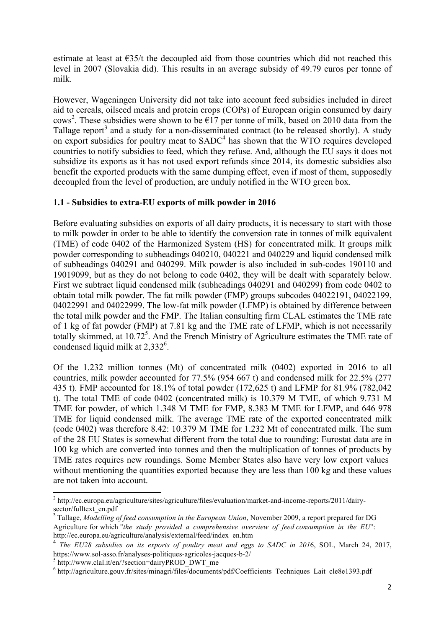estimate at least at  $\epsilon$ 35/t the decoupled aid from those countries which did not reached this level in 2007 (Slovakia did). This results in an average subsidy of 49.79 euros per tonne of milk.

However, Wageningen University did not take into account feed subsidies included in direct aid to cereals, oilseed meals and protein crops (COPs) of European origin consumed by dairy cows<sup>2</sup>. These subsidies were shown to be  $\epsilon$ 17 per tonne of milk, based on 2010 data from the Tallage report<sup>3</sup> and a study for a non-disseminated contract (to be released shortly). A study on export subsidies for poultry meat to  $SADC<sup>4</sup>$  has shown that the WTO requires developed countries to notify subsidies to feed, which they refuse. And, although the EU says it does not subsidize its exports as it has not used export refunds since 2014, its domestic subsidies also benefit the exported products with the same dumping effect, even if most of them, supposedly decoupled from the level of production, are unduly notified in the WTO green box.

## **1.1 - Subsidies to extra-EU exports of milk powder in 2016**

Before evaluating subsidies on exports of all dairy products, it is necessary to start with those to milk powder in order to be able to identify the conversion rate in tonnes of milk equivalent (TME) of code 0402 of the Harmonized System (HS) for concentrated milk. It groups milk powder corresponding to subheadings 040210, 040221 and 040229 and liquid condensed milk of subheadings 040291 and 040299. Milk powder is also included in sub-codes 190110 and 19019099, but as they do not belong to code 0402, they will be dealt with separately below. First we subtract liquid condensed milk (subheadings 040291 and 040299) from code 0402 to obtain total milk powder. The fat milk powder (FMP) groups subcodes 04022191, 04022199, 04022991 and 04022999. The low-fat milk powder (LFMP) is obtained by difference between the total milk powder and the FMP. The Italian consulting firm CLAL estimates the TME rate of 1 kg of fat powder (FMP) at 7.81 kg and the TME rate of LFMP, which is not necessarily totally skimmed, at  $10.72^5$ . And the French Ministry of Agriculture estimates the TME rate of condensed liquid milk at 2,332<sup>6</sup>.

Of the 1.232 million tonnes (Mt) of concentrated milk (0402) exported in 2016 to all countries, milk powder accounted for 77.5% (954 667 t) and condensed milk for 22.5% (277 435 t). FMP accounted for 18.1% of total powder (172,625 t) and LFMP for 81.9% (782,042 t). The total TME of code 0402 (concentrated milk) is 10.379 M TME, of which 9.731 M TME for powder, of which 1.348 M TME for FMP, 8.383 M TME for LFMP, and 646 978 TME for liquid condensed milk. The average TME rate of the exported concentrated milk (code 0402) was therefore 8.42: 10.379 M TME for 1.232 Mt of concentrated milk. The sum of the 28 EU States is somewhat different from the total due to rounding: Eurostat data are in 100 kg which are converted into tonnes and then the multiplication of tonnes of products by TME rates requires new roundings. Some Member States also have very low export values without mentioning the quantities exported because they are less than 100 kg and these values are not taken into account.

<u> 1989 - Jan Samuel Barbara, margaret e</u>

<sup>2</sup> http://ec.europa.eu/agriculture/sites/agriculture/files/evaluation/market-and-income-reports/2011/dairysector/fulltext\_en.pdf

<sup>3</sup> Tallage, *Modelling of feed consumption in the European Union*, November 2009, a report prepared for DG Agriculture for which "*the study provided a comprehensive overview of feed consumption in the EU*": http://ec.europa.eu/agriculture/analysis/external/feed/index\_en.htm

<sup>4</sup> *The EU28 subsidies on its exports of poultry meat and eggs to SADC in 201*6, SOL, March 24, 2017, https://www.sol-asso.fr/analyses-politiques-agricoles-jacques-b-2/<br><sup>5</sup> http://www.clal.it/en/?section=dairyPROD\_DWT\_me

<sup>6</sup> http://agriculture.gouv.fr/sites/minagri/files/documents/pdf/Coefficients\_Techniques\_Lait\_cle8e1393.pdf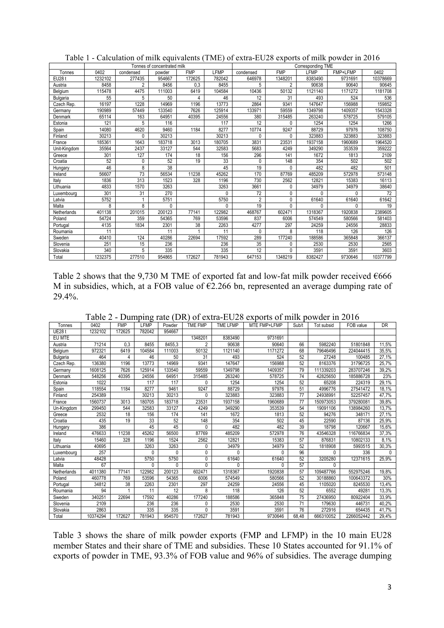|              |         |           | Tonnes of concentrated milk |            |              |                |            | Corresponding TME |              |          |
|--------------|---------|-----------|-----------------------------|------------|--------------|----------------|------------|-------------------|--------------|----------|
| Tonnes       | 0402    | condensed | powder                      | <b>FMP</b> | LFMP         | condensed      | <b>FMP</b> | LFMP              | FMP+LFMP     | 0402     |
| EU28 t       | 1232102 | 277435    | 954667                      | 172625     | 782042       | 646978         | 1348201    | 8383490           | 9731691      | 10378669 |
| Austria      | 8458    | 2         | 8456                        | 0.3        | 8455         | 5              | 2          | 90638             | 90640        | 90645    |
| Belgium      | 115478  | 4475      | 111003                      | 6419       | 104584       | 10436          | 50132      | 1121140           | 1171272      | 1181708  |
| Bulgaria     | 55      | 5         | 50                          | 4          | 46           | 12             | 31         | 493               | 524          | 536      |
| Czech Rep.   | 16197   | 1228      | 14969                       | 1196       | 13773        | 2864           | 9341       | 147647            | 156988       | 159852   |
| Germany      | 190989  | 57449     | 133540                      | 7626       | 125914       | 133971         | 59559      | 1349798           | 1409357      | 1543328  |
| Denmark      | 65114   | 163       | 64951                       | 40395      | 24556        | 380            | 315485     | 263240            | 578725       | 579105   |
| Estonia      | 121     | 5         | 116                         |            | 117          | 12             | 0          | 1254              | 1254         | 1266     |
| Spain        | 14080   | 4620      | 9460                        | 1184       | 8277         | 10774          | 9247       | 88729             | 97976        | 108750   |
| Finland      | 30213   | $\Omega$  | 30213                       |            | 30213        | 0              | 0          | 323883            | 323883       | 323883   |
| France       | 185361  | 1643      | 183718                      | 3013       | 180705       | 3831           | 23531      | 1937158           | 1960689      | 1964520  |
| Unit-Kingdom | 35564   | 2437      | 33127                       | 544        | 32583        | 5683           | 4249       | 349290            | 353539       | 359222   |
| Greece       | 301     | 127       | 174                         | 18         | 156          | 296            | 141        | 1672              | 1813         | 2109     |
| Croatia      | 52      | 0         | 52                          | 19         | 33           | 0              | 148        | 354               | 502          | 502      |
| Hungary      | 46      | 8         | 38                          |            | 45           | 19             | 0          | 482               | 482          | 501      |
| Ireland      | 56607   | 73        | 56534                       | 11238      | 45262        | 170            | 87769      | 485209            | 572978       | 573148   |
| Italy        | 1836    | 313       | 1523                        | 328        | 1196         | 730            | 2562       | 12821             | 15383        | 16113    |
| Lithuania    | 4833    | 1570      | 3263                        |            | 3263         | 3661           | 0          | 34979             | 34979        | 38640    |
| Luxembourg   | 301     | 31        | 270                         |            | $\mathbf{0}$ | 72             | 0          | 0                 | $\mathbf{0}$ | 72       |
| Latvia       | 5752    |           | 5751                        |            | 5750         | $\overline{2}$ | 0          | 61640             | 61640        | 61642    |
| Malta        | 8       | 8         | 0                           |            | $\mathbf{0}$ | 19             | 0          | 0                 | $\mathbf{0}$ | 19       |
| Netherlands  | 401138  | 201015    | 200123                      | 77141      | 122982       | 468767         | 602471     | 1318367           | 1920838      | 2389605  |
| Poland       | 54724   | 359       | 54365                       | 769        | 53596        | 837            | 6006       | 574549            | 580566       | 581403   |
| Portugal     | 4135    | 1834      | 2301                        | 38         | 2263         | 4277           | 297        | 24259             | 24556        | 28833    |
| Roumania     | 11      |           | 11                          |            | 11           | $\Omega$       | 8          | 118               | 126          | 126      |
| Sweden       | 40410   | 124       | 40286                       | 22694      | 17592        | 289            | 177240     | 188586            | 365848       | 366137   |
| Slovenia     | 251     | 15        | 236                         |            | 236          | 35             | 0          | 2530              | 2530         | 2565     |
| Slovakia     | 340     | 5         | 335                         |            | 335          | 12             | 0          | 3591              | 3591         | 3603     |
| Total        | 1232375 | 277510    | 954865                      | 172627     | 781943       | 647153         | 1348219    | 8382427           | 9730646      | 10377799 |

Table 1 - Calculation of milk equivalents (TME) of extra-EU28 exports of milk powder in 2016

Table 2 shows that the 9,730 M TME of exported fat and low-fat milk powder received  $\epsilon$ 666 M in subsidies, which, at a FOB value of  $\epsilon$ 2.266 bn, represented an average dumping rate of 29.4%.

Table 2 - Dumping rate (DR) of extra-EU28 exports of milk powder in 2016

| Powder<br>Tot subsid<br><b>UE28 t</b><br>172625<br>1232102<br>782042<br>954667<br>1348201<br>EU MTE<br>8383490<br>9731691<br>8455<br>8455,3<br>71214<br>0,3<br>$\overline{2}$<br>66<br>5982240<br>11,5%<br>90638<br>90640<br>51801848<br>Austria<br>972321<br>50132<br>1121140<br>1171272<br>6419<br>104584<br>111003<br>68<br>79646496<br>224044415<br>35,5%<br>Belgium<br>464<br>46<br>50<br>31<br>493<br>524<br>52<br>27248<br>27,1%<br>100485<br>4<br>Bulgaria<br>9341<br>136380<br>14969<br>147647<br>156988<br>8163376<br>Czech Rep.<br>1196<br>13773<br>52<br>31796725<br>25.7%<br>39,2%<br>1608125<br>7626<br>125914<br>133540<br>59559<br>1349798<br>1409357<br>79<br>111339203<br>283707246<br>Germany<br>263240<br>74<br>23%<br>548256<br>40395<br>24556<br>64951<br>315485<br>578725<br>42825650<br>Denmark<br>185886728<br>1254<br>1254<br>29.1%<br>1022<br>117<br>52<br>65208<br>224319<br>117<br>Estonia<br>U<br>8277<br>9247<br>88729<br>97976<br>18,1%<br>118554<br>1184<br>9461<br>51<br>4996776<br>27541472<br>Spain<br>254389<br>30213<br>30213<br>0<br>323883<br>323883<br>24938991<br>Finland<br>77<br>52257457<br>47,7%<br>23531<br>39,8%<br>1560737<br>3013<br>180705<br>183718<br>1937158<br>1960689<br>77<br>150973053<br>379280081<br>France<br>32583<br>299450<br>544<br>33127<br>4249<br>349290<br>353539<br>54<br>13,7%<br>19091106<br>138984260<br>Un-Kingdom<br>2532<br>18<br>156<br>141<br>1672<br>1813<br>52<br>94276<br>174<br>348171<br>27,1%<br>Greece<br>19<br>435<br>33<br>52<br>148<br>354<br>502<br>87136<br>25,9%<br>Croatia<br>45<br>22590<br>386<br>482<br>39<br>15,6%<br>45<br>45<br>0<br>482<br>18798<br>120667<br>Hungary<br>45262<br>485209<br>476633<br>11238<br>56500<br>87769<br>572978<br>76<br>43546328<br>116766834<br>37,3%<br>Ireland<br>15460<br>328<br>1196<br>1524<br>2562<br>12821<br>15383<br>876831<br>10802133<br>8.1%<br>57<br>Italy<br>40695<br>3263<br>3263<br>0<br>34979<br>34979<br>52<br>1818908<br>5993515<br>30.3%<br>Lithuania<br>257<br>96<br>0<br>0<br>0<br>0<br>0<br>336<br>0<br>$\Omega$<br>Luxembourg<br>61640<br>3205280<br>48428<br>5750<br>5750<br>0<br>61640<br>52<br>12371615<br>25,9%<br>Latvia<br>67<br>$\Omega$<br>57<br>Malta<br>0<br>0<br>$\Omega$<br>0<br>0<br>4011380<br>122982<br>1920838<br>552975246<br>19,8%<br>Netherlands<br>77141<br>200123<br>602471<br>1318367<br>57<br>109487766<br>53596<br>6006<br>574549<br>52<br>100643372<br>30%<br>460778<br>769<br>54365<br>580566<br>30188860<br>Poland<br>38<br>34812<br>2263<br>2301<br>297<br>24259<br>45<br>1105020<br>13,4%<br>24556<br>8245530<br>Portugal<br>94<br>11<br>12<br>8<br>118<br>126<br>52<br>49281<br>13,3%<br>6552<br>Roumania<br>177240<br>365848<br>340251<br>22694<br>17592<br>40286<br>188586<br>75<br>27436950<br>80922404<br>33,9%<br>Sweden<br>2109<br>236<br>236<br>0<br>2530<br>2530<br>71<br>179630<br>446731<br>40.2%<br>Slovenia<br>335<br>3591<br>2863<br>335<br>3591<br>76<br>272916<br>0<br>654435<br>41.7%<br>Slovakia<br>10374294<br>172627<br>781943<br>172627<br>781943<br>9730646<br>Total<br>954570<br>68.48<br>666310052<br>2266052442<br>29,4% |        |      |            |      |                |                 |              |       |           |           |
|-------------------------------------------------------------------------------------------------------------------------------------------------------------------------------------------------------------------------------------------------------------------------------------------------------------------------------------------------------------------------------------------------------------------------------------------------------------------------------------------------------------------------------------------------------------------------------------------------------------------------------------------------------------------------------------------------------------------------------------------------------------------------------------------------------------------------------------------------------------------------------------------------------------------------------------------------------------------------------------------------------------------------------------------------------------------------------------------------------------------------------------------------------------------------------------------------------------------------------------------------------------------------------------------------------------------------------------------------------------------------------------------------------------------------------------------------------------------------------------------------------------------------------------------------------------------------------------------------------------------------------------------------------------------------------------------------------------------------------------------------------------------------------------------------------------------------------------------------------------------------------------------------------------------------------------------------------------------------------------------------------------------------------------------------------------------------------------------------------------------------------------------------------------------------------------------------------------------------------------------------------------------------------------------------------------------------------------------------------------------------------------------------------------------------------------------------------------------------------------------------------------------------------------------------------------------------------------------------------------------------------------------------------------------------------------------------------------------------------------------------------------------------------------------------------------------------------------------------------------------------------------------------------------------------------------------------------------------------------------------------------------------------------------------------------------------------------------------------------------------------------------|--------|------|------------|------|----------------|-----------------|--------------|-------|-----------|-----------|
|                                                                                                                                                                                                                                                                                                                                                                                                                                                                                                                                                                                                                                                                                                                                                                                                                                                                                                                                                                                                                                                                                                                                                                                                                                                                                                                                                                                                                                                                                                                                                                                                                                                                                                                                                                                                                                                                                                                                                                                                                                                                                                                                                                                                                                                                                                                                                                                                                                                                                                                                                                                                                                                                                                                                                                                                                                                                                                                                                                                                                                                                                                                                     | Tonnes | 0402 | <b>FMP</b> | LFMP | <b>TME FMP</b> | <b>TME LFMP</b> | MTE FMP+LFMP | Sub/t | FOB value | <b>DR</b> |
|                                                                                                                                                                                                                                                                                                                                                                                                                                                                                                                                                                                                                                                                                                                                                                                                                                                                                                                                                                                                                                                                                                                                                                                                                                                                                                                                                                                                                                                                                                                                                                                                                                                                                                                                                                                                                                                                                                                                                                                                                                                                                                                                                                                                                                                                                                                                                                                                                                                                                                                                                                                                                                                                                                                                                                                                                                                                                                                                                                                                                                                                                                                                     |        |      |            |      |                |                 |              |       |           |           |
|                                                                                                                                                                                                                                                                                                                                                                                                                                                                                                                                                                                                                                                                                                                                                                                                                                                                                                                                                                                                                                                                                                                                                                                                                                                                                                                                                                                                                                                                                                                                                                                                                                                                                                                                                                                                                                                                                                                                                                                                                                                                                                                                                                                                                                                                                                                                                                                                                                                                                                                                                                                                                                                                                                                                                                                                                                                                                                                                                                                                                                                                                                                                     |        |      |            |      |                |                 |              |       |           |           |
|                                                                                                                                                                                                                                                                                                                                                                                                                                                                                                                                                                                                                                                                                                                                                                                                                                                                                                                                                                                                                                                                                                                                                                                                                                                                                                                                                                                                                                                                                                                                                                                                                                                                                                                                                                                                                                                                                                                                                                                                                                                                                                                                                                                                                                                                                                                                                                                                                                                                                                                                                                                                                                                                                                                                                                                                                                                                                                                                                                                                                                                                                                                                     |        |      |            |      |                |                 |              |       |           |           |
|                                                                                                                                                                                                                                                                                                                                                                                                                                                                                                                                                                                                                                                                                                                                                                                                                                                                                                                                                                                                                                                                                                                                                                                                                                                                                                                                                                                                                                                                                                                                                                                                                                                                                                                                                                                                                                                                                                                                                                                                                                                                                                                                                                                                                                                                                                                                                                                                                                                                                                                                                                                                                                                                                                                                                                                                                                                                                                                                                                                                                                                                                                                                     |        |      |            |      |                |                 |              |       |           |           |
|                                                                                                                                                                                                                                                                                                                                                                                                                                                                                                                                                                                                                                                                                                                                                                                                                                                                                                                                                                                                                                                                                                                                                                                                                                                                                                                                                                                                                                                                                                                                                                                                                                                                                                                                                                                                                                                                                                                                                                                                                                                                                                                                                                                                                                                                                                                                                                                                                                                                                                                                                                                                                                                                                                                                                                                                                                                                                                                                                                                                                                                                                                                                     |        |      |            |      |                |                 |              |       |           |           |
|                                                                                                                                                                                                                                                                                                                                                                                                                                                                                                                                                                                                                                                                                                                                                                                                                                                                                                                                                                                                                                                                                                                                                                                                                                                                                                                                                                                                                                                                                                                                                                                                                                                                                                                                                                                                                                                                                                                                                                                                                                                                                                                                                                                                                                                                                                                                                                                                                                                                                                                                                                                                                                                                                                                                                                                                                                                                                                                                                                                                                                                                                                                                     |        |      |            |      |                |                 |              |       |           |           |
|                                                                                                                                                                                                                                                                                                                                                                                                                                                                                                                                                                                                                                                                                                                                                                                                                                                                                                                                                                                                                                                                                                                                                                                                                                                                                                                                                                                                                                                                                                                                                                                                                                                                                                                                                                                                                                                                                                                                                                                                                                                                                                                                                                                                                                                                                                                                                                                                                                                                                                                                                                                                                                                                                                                                                                                                                                                                                                                                                                                                                                                                                                                                     |        |      |            |      |                |                 |              |       |           |           |
|                                                                                                                                                                                                                                                                                                                                                                                                                                                                                                                                                                                                                                                                                                                                                                                                                                                                                                                                                                                                                                                                                                                                                                                                                                                                                                                                                                                                                                                                                                                                                                                                                                                                                                                                                                                                                                                                                                                                                                                                                                                                                                                                                                                                                                                                                                                                                                                                                                                                                                                                                                                                                                                                                                                                                                                                                                                                                                                                                                                                                                                                                                                                     |        |      |            |      |                |                 |              |       |           |           |
|                                                                                                                                                                                                                                                                                                                                                                                                                                                                                                                                                                                                                                                                                                                                                                                                                                                                                                                                                                                                                                                                                                                                                                                                                                                                                                                                                                                                                                                                                                                                                                                                                                                                                                                                                                                                                                                                                                                                                                                                                                                                                                                                                                                                                                                                                                                                                                                                                                                                                                                                                                                                                                                                                                                                                                                                                                                                                                                                                                                                                                                                                                                                     |        |      |            |      |                |                 |              |       |           |           |
|                                                                                                                                                                                                                                                                                                                                                                                                                                                                                                                                                                                                                                                                                                                                                                                                                                                                                                                                                                                                                                                                                                                                                                                                                                                                                                                                                                                                                                                                                                                                                                                                                                                                                                                                                                                                                                                                                                                                                                                                                                                                                                                                                                                                                                                                                                                                                                                                                                                                                                                                                                                                                                                                                                                                                                                                                                                                                                                                                                                                                                                                                                                                     |        |      |            |      |                |                 |              |       |           |           |
|                                                                                                                                                                                                                                                                                                                                                                                                                                                                                                                                                                                                                                                                                                                                                                                                                                                                                                                                                                                                                                                                                                                                                                                                                                                                                                                                                                                                                                                                                                                                                                                                                                                                                                                                                                                                                                                                                                                                                                                                                                                                                                                                                                                                                                                                                                                                                                                                                                                                                                                                                                                                                                                                                                                                                                                                                                                                                                                                                                                                                                                                                                                                     |        |      |            |      |                |                 |              |       |           |           |
|                                                                                                                                                                                                                                                                                                                                                                                                                                                                                                                                                                                                                                                                                                                                                                                                                                                                                                                                                                                                                                                                                                                                                                                                                                                                                                                                                                                                                                                                                                                                                                                                                                                                                                                                                                                                                                                                                                                                                                                                                                                                                                                                                                                                                                                                                                                                                                                                                                                                                                                                                                                                                                                                                                                                                                                                                                                                                                                                                                                                                                                                                                                                     |        |      |            |      |                |                 |              |       |           |           |
|                                                                                                                                                                                                                                                                                                                                                                                                                                                                                                                                                                                                                                                                                                                                                                                                                                                                                                                                                                                                                                                                                                                                                                                                                                                                                                                                                                                                                                                                                                                                                                                                                                                                                                                                                                                                                                                                                                                                                                                                                                                                                                                                                                                                                                                                                                                                                                                                                                                                                                                                                                                                                                                                                                                                                                                                                                                                                                                                                                                                                                                                                                                                     |        |      |            |      |                |                 |              |       |           |           |
|                                                                                                                                                                                                                                                                                                                                                                                                                                                                                                                                                                                                                                                                                                                                                                                                                                                                                                                                                                                                                                                                                                                                                                                                                                                                                                                                                                                                                                                                                                                                                                                                                                                                                                                                                                                                                                                                                                                                                                                                                                                                                                                                                                                                                                                                                                                                                                                                                                                                                                                                                                                                                                                                                                                                                                                                                                                                                                                                                                                                                                                                                                                                     |        |      |            |      |                |                 |              |       |           |           |
|                                                                                                                                                                                                                                                                                                                                                                                                                                                                                                                                                                                                                                                                                                                                                                                                                                                                                                                                                                                                                                                                                                                                                                                                                                                                                                                                                                                                                                                                                                                                                                                                                                                                                                                                                                                                                                                                                                                                                                                                                                                                                                                                                                                                                                                                                                                                                                                                                                                                                                                                                                                                                                                                                                                                                                                                                                                                                                                                                                                                                                                                                                                                     |        |      |            |      |                |                 |              |       |           |           |
|                                                                                                                                                                                                                                                                                                                                                                                                                                                                                                                                                                                                                                                                                                                                                                                                                                                                                                                                                                                                                                                                                                                                                                                                                                                                                                                                                                                                                                                                                                                                                                                                                                                                                                                                                                                                                                                                                                                                                                                                                                                                                                                                                                                                                                                                                                                                                                                                                                                                                                                                                                                                                                                                                                                                                                                                                                                                                                                                                                                                                                                                                                                                     |        |      |            |      |                |                 |              |       |           |           |
|                                                                                                                                                                                                                                                                                                                                                                                                                                                                                                                                                                                                                                                                                                                                                                                                                                                                                                                                                                                                                                                                                                                                                                                                                                                                                                                                                                                                                                                                                                                                                                                                                                                                                                                                                                                                                                                                                                                                                                                                                                                                                                                                                                                                                                                                                                                                                                                                                                                                                                                                                                                                                                                                                                                                                                                                                                                                                                                                                                                                                                                                                                                                     |        |      |            |      |                |                 |              |       |           |           |
|                                                                                                                                                                                                                                                                                                                                                                                                                                                                                                                                                                                                                                                                                                                                                                                                                                                                                                                                                                                                                                                                                                                                                                                                                                                                                                                                                                                                                                                                                                                                                                                                                                                                                                                                                                                                                                                                                                                                                                                                                                                                                                                                                                                                                                                                                                                                                                                                                                                                                                                                                                                                                                                                                                                                                                                                                                                                                                                                                                                                                                                                                                                                     |        |      |            |      |                |                 |              |       |           |           |
|                                                                                                                                                                                                                                                                                                                                                                                                                                                                                                                                                                                                                                                                                                                                                                                                                                                                                                                                                                                                                                                                                                                                                                                                                                                                                                                                                                                                                                                                                                                                                                                                                                                                                                                                                                                                                                                                                                                                                                                                                                                                                                                                                                                                                                                                                                                                                                                                                                                                                                                                                                                                                                                                                                                                                                                                                                                                                                                                                                                                                                                                                                                                     |        |      |            |      |                |                 |              |       |           |           |
|                                                                                                                                                                                                                                                                                                                                                                                                                                                                                                                                                                                                                                                                                                                                                                                                                                                                                                                                                                                                                                                                                                                                                                                                                                                                                                                                                                                                                                                                                                                                                                                                                                                                                                                                                                                                                                                                                                                                                                                                                                                                                                                                                                                                                                                                                                                                                                                                                                                                                                                                                                                                                                                                                                                                                                                                                                                                                                                                                                                                                                                                                                                                     |        |      |            |      |                |                 |              |       |           |           |
|                                                                                                                                                                                                                                                                                                                                                                                                                                                                                                                                                                                                                                                                                                                                                                                                                                                                                                                                                                                                                                                                                                                                                                                                                                                                                                                                                                                                                                                                                                                                                                                                                                                                                                                                                                                                                                                                                                                                                                                                                                                                                                                                                                                                                                                                                                                                                                                                                                                                                                                                                                                                                                                                                                                                                                                                                                                                                                                                                                                                                                                                                                                                     |        |      |            |      |                |                 |              |       |           |           |
|                                                                                                                                                                                                                                                                                                                                                                                                                                                                                                                                                                                                                                                                                                                                                                                                                                                                                                                                                                                                                                                                                                                                                                                                                                                                                                                                                                                                                                                                                                                                                                                                                                                                                                                                                                                                                                                                                                                                                                                                                                                                                                                                                                                                                                                                                                                                                                                                                                                                                                                                                                                                                                                                                                                                                                                                                                                                                                                                                                                                                                                                                                                                     |        |      |            |      |                |                 |              |       |           |           |
|                                                                                                                                                                                                                                                                                                                                                                                                                                                                                                                                                                                                                                                                                                                                                                                                                                                                                                                                                                                                                                                                                                                                                                                                                                                                                                                                                                                                                                                                                                                                                                                                                                                                                                                                                                                                                                                                                                                                                                                                                                                                                                                                                                                                                                                                                                                                                                                                                                                                                                                                                                                                                                                                                                                                                                                                                                                                                                                                                                                                                                                                                                                                     |        |      |            |      |                |                 |              |       |           |           |
|                                                                                                                                                                                                                                                                                                                                                                                                                                                                                                                                                                                                                                                                                                                                                                                                                                                                                                                                                                                                                                                                                                                                                                                                                                                                                                                                                                                                                                                                                                                                                                                                                                                                                                                                                                                                                                                                                                                                                                                                                                                                                                                                                                                                                                                                                                                                                                                                                                                                                                                                                                                                                                                                                                                                                                                                                                                                                                                                                                                                                                                                                                                                     |        |      |            |      |                |                 |              |       |           |           |
|                                                                                                                                                                                                                                                                                                                                                                                                                                                                                                                                                                                                                                                                                                                                                                                                                                                                                                                                                                                                                                                                                                                                                                                                                                                                                                                                                                                                                                                                                                                                                                                                                                                                                                                                                                                                                                                                                                                                                                                                                                                                                                                                                                                                                                                                                                                                                                                                                                                                                                                                                                                                                                                                                                                                                                                                                                                                                                                                                                                                                                                                                                                                     |        |      |            |      |                |                 |              |       |           |           |
|                                                                                                                                                                                                                                                                                                                                                                                                                                                                                                                                                                                                                                                                                                                                                                                                                                                                                                                                                                                                                                                                                                                                                                                                                                                                                                                                                                                                                                                                                                                                                                                                                                                                                                                                                                                                                                                                                                                                                                                                                                                                                                                                                                                                                                                                                                                                                                                                                                                                                                                                                                                                                                                                                                                                                                                                                                                                                                                                                                                                                                                                                                                                     |        |      |            |      |                |                 |              |       |           |           |
|                                                                                                                                                                                                                                                                                                                                                                                                                                                                                                                                                                                                                                                                                                                                                                                                                                                                                                                                                                                                                                                                                                                                                                                                                                                                                                                                                                                                                                                                                                                                                                                                                                                                                                                                                                                                                                                                                                                                                                                                                                                                                                                                                                                                                                                                                                                                                                                                                                                                                                                                                                                                                                                                                                                                                                                                                                                                                                                                                                                                                                                                                                                                     |        |      |            |      |                |                 |              |       |           |           |
|                                                                                                                                                                                                                                                                                                                                                                                                                                                                                                                                                                                                                                                                                                                                                                                                                                                                                                                                                                                                                                                                                                                                                                                                                                                                                                                                                                                                                                                                                                                                                                                                                                                                                                                                                                                                                                                                                                                                                                                                                                                                                                                                                                                                                                                                                                                                                                                                                                                                                                                                                                                                                                                                                                                                                                                                                                                                                                                                                                                                                                                                                                                                     |        |      |            |      |                |                 |              |       |           |           |
|                                                                                                                                                                                                                                                                                                                                                                                                                                                                                                                                                                                                                                                                                                                                                                                                                                                                                                                                                                                                                                                                                                                                                                                                                                                                                                                                                                                                                                                                                                                                                                                                                                                                                                                                                                                                                                                                                                                                                                                                                                                                                                                                                                                                                                                                                                                                                                                                                                                                                                                                                                                                                                                                                                                                                                                                                                                                                                                                                                                                                                                                                                                                     |        |      |            |      |                |                 |              |       |           |           |
|                                                                                                                                                                                                                                                                                                                                                                                                                                                                                                                                                                                                                                                                                                                                                                                                                                                                                                                                                                                                                                                                                                                                                                                                                                                                                                                                                                                                                                                                                                                                                                                                                                                                                                                                                                                                                                                                                                                                                                                                                                                                                                                                                                                                                                                                                                                                                                                                                                                                                                                                                                                                                                                                                                                                                                                                                                                                                                                                                                                                                                                                                                                                     |        |      |            |      |                |                 |              |       |           |           |

Table 3 shows the share of milk powder exports (FMP and LFMP) in the 10 main EU28 member States and their share of TME and subsidies. These 10 States accounted for 91.1% of exports of powder in TME, 93.3% of FOB value and 96% of subsidies. The average dumping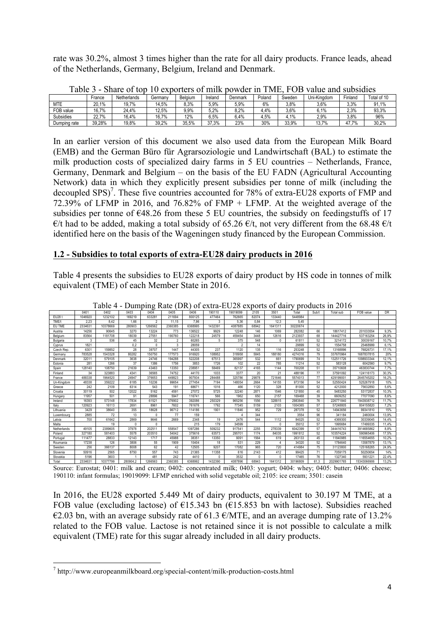rate was 30.2%, almost 3 times higher than the rate for all dairy products. France leads, ahead of the Netherlands, Germany, Belgium, Ireland and Denmark.

| ------           |                | ------      |         |         |         |         |        | --     |             | ----------------- |             |
|------------------|----------------|-------------|---------|---------|---------|---------|--------|--------|-------------|-------------------|-------------|
|                  | France         | Netherlands | Germany | Belaium | 'reland | Denmark | Poland | Sweden | Uni-Kinadom | Finland           | Total of 10 |
| <b>MTE</b>       | 20.1%          | 19.7%       | 4.5%    | 8,3%    | 5.9%    | 5.9%    | 6%     | 3.8%   | 3.6%        | 3.3%              | 91.<br>1%   |
| FOB value        | 16.7%          | 24.4%       | 12.5%   | 9.9%    | $5.2\%$ | 8.2%    | 4.4%   | 3.6%   | 6,1%        | 2.3%              | 93.3%       |
| <b>Subsidies</b> | 22.70/<br>44.I | 16,4%       | 16.7%   | 12%     | 6.5%    | 4%،     | 4.5%   | 4.1%   | 2,9%        | 3.8%              | 96%         |
| Dumping rate     | 39.28%         | 19,8%       | 39,2%   | 35.5%   | 37,3%   | 23%     | 30%    | 33.9%  | 13.7%       | $.7\%$<br>41.1    | 30,2%       |

Table 3 - Share of top 10 exporters of milk powder in TME, FOB value and subsidies

In an earlier version of this document we also used data from the European Milk Board (EMB) and the German Büro für Agrarsoziologie und Landwirtschaft (BAL) to estimate the milk production costs of specialized dairy farms in 5 EU countries – Netherlands, France, Germany, Denmark and Belgium – on the basis of the EU FADN (Agricultural Accounting Network) data in which they explicitly present subsidies per tonne of milk (including the decoupled SPS)<sup>7</sup>. These five countries accounted for 78% of extra-EU28 exports of FMP and 72.39% of LFMP in 2016, and 76.82% of FMP + LFMP. At the weighted average of the subsidies per tonne of  $\epsilon$ 48.26 from these 5 EU countries, the subsidy on feedingstuffs of 17  $\epsilon/t$  had to be added, making a total subsidy of 65.26  $\epsilon/t$ , not very different from the 68.48  $\epsilon/t$ identified here on the basis of the Wageningen study financed by the European Commission.

# **1.2 - Subsidies to total exports of extra-EU28 dairy products in 2016**

Table 4 presents the subsidies to EU28 exports of dairy product by HS code in tonnes of milk equivalent (TME) of each Member State in 2016.

|             | 0401    | 0402     | 0403     | 0404           | 0405           | 0406    | 190110  | 19019099       | 2105  | 3501    | Total    | Sub/t | Total sub  | FOB value   | DR    |
|-------------|---------|----------|----------|----------------|----------------|---------|---------|----------------|-------|---------|----------|-------|------------|-------------|-------|
| EU281       | 1046920 | 1232102  | 169219   | 633281         | 211694         | 800125  | 477464  | 762665         | 82074 | 133440  | 5448984  |       |            |             |       |
| TME/t       | 2.23    | 8.42     | 1.66     | $\mathfrak{p}$ | 11.15          | 7.96    | 3       | 5.36           | 0.84  | 12.3    | 5.45     |       |            |             |       |
| EU TME      | 2334631 | 10378669 | 280903   | 1266562        | 2360385        | 6368995 | 1432391 | 4087885        | 68942 | 1641311 | 30220674 |       |            |             |       |
| Austria     | 14256   | 90645    | 3270     | 13224          | 773            | 136522  | 9929    | 12248          | 146   | 1069    | 282082   | 66    | 18617412   | 201033554   | 9.3%  |
| Belaium     | 83564   | 1181708  | 18039    | 27551          | 190760         | 122218  | 24579   | 459454         | 3448  | 12616   | 2123937  | 68    | 144427716  | 537163254   | 26.9% |
| Bulgaria    | 3       | 536      | 45       | 32             | $\mathfrak{p}$ | 60265   | 5       | 375            | 548   | n       | 61811    | 52    | 3214172    | 30039167    | 10.7% |
| Cyprus      | 1821    |          | 0.2      | $\Omega$       | 3              | 28059   |         | $\mathfrak{p}$ | 14    |         | 29899    | 52    | 1554758    | 25468999    | 6.1%  |
| Czech Rep.  | 6301    | 159852   | 28       | 39707          | 1447           | 44305   | 237     | 1120           | 135   | 116     | 253248   | 52    | 13168896   | 76826731    | 17,1% |
| Germany     | 783528  | 1543328  | 80282    | 150750         | 177573         | 916920  | 108952  | 318958         | 5845  | 188180  | 4274316  | 79    | 337670964  | 1687837815  | 20%   |
| Denmark     | 32011   | 579105   | 3638     | 24746          | 194288         | 522208  | 67513   | 365997         | 532   | 661     | 1790699  | 74    | 132511726  | 1098933344  | 12.1% |
| Estonia     | 281     | 1266     | 37       | 1386           | 1756           | 3853    | 1726    | 102            | 22    | 785     | 11214    | 52    | 583128     | 6042560     | 9.7%  |
| Spain       | 128140  | 108750   | 21639    | 43463          | 13350          | 23895   | 58469   | 82137          | 4165  | 1144    | 700208   | 51    | 35710608   | 463830744   | 7.7%  |
| Finland     | 34      | 323883   | 4341     | 36565          | 74752          | 44170   | 1033    | 3377           | 20    | 21      | 488196   | 77    | 37591092   | 124116173   | 30,3% |
| France      | 488338  | 1964520  | 24947    | 376653         | 449823         | 907934  | 284488  | 325786         | 29878 | 721646  | 5574013  | 77    | 42919900   | 2645745202  | 16.2% |
| Un-Kinadom  | 48338   | 359222   | 6185     | 10236          | 99654          | 277454  | 7194    | 148054         | 2664  | 14155   | 973156   | 54    | 52550424   | 525267918   | 10%   |
| Greece      | 242     | 2109     | 6314     | 543            | 191            | 68671   | 1016    | 466            | 1120  | 328     | 81000    | 52    | 4212000    | 75632850    | 5.6%  |
| Croatia     | 30119   | 502      | 12022    | 5162           | 4591           | 27072   | 5725    | 32240          | 2871  | 1546    | 121850   | 45    | 5483250    | 53172837    | 10.3% |
| Hungary     | 11957   | 501      | 91       | 28896          | 5947           | 116741  | 566     | 1962           | 650   | 2157    | 169468   | 39    | 6609252    | 77077090    | 8.6%  |
| Ireland     | 16393   | 573148   | 17834    | 61521          | 376902         | 392086  | 250329  | 965256         | 1556  | 328815  | 2983840  | 76    | 226771840  | 1943938712  | 11.7% |
| Italy       | 120923  | 16113    | 2691     | 8961           | 7602           | 761676  | 1792    | 77345          | 5159  | 2103    | 1004365  | 57    | 57248805   | 804155820   | 7,2%  |
| Lithuania   | 3429    | 38640    | 355      | 18628          | 96712          | 114186  | 1901    | 11846          | 952   | 729     | 287378   | 52    | 14943656   | 99341810    | 15%   |
| Luxembourg  | 2885    | 72       | 13       | n              | 77             | 159     |         |                | 344   |         | 3554     | 96    | 341184     | 2460004     | 13.9% |
| Latvia      | 700     | 61642    | 2869     | 9646           | 2669           | 2348    | 19      | 2476           | 544   | 1112    | 84025    | 52    | 4369300    | 30339045    | 14,4% |
| Malta       |         | 19       |          | n              |                | 215     | 179     | 34599          |       | n       | 35012    | 57    | 1995684    | 17499335    | 11,4% |
| Netherlands | 49105   | 2389605  | 37978    | 202511         | 558547         | 1097286 | 509232  | 917541         | 2255  | 278339  | 6042399  | 57    | 344416743  | 3914685862  | 8.8%  |
| Poland      | 327180  | 581403   | 5578     | 203510         | 54042          | 375616  | 63573   | 295701         | 1174  | 84035   | 1991812  | 52    | 103574224  | 590965406   | 17.5% |
| Portugal    | 111477  | 28833    | 12143    | 1717           | 45988          | 38351   | 13350   | 9091           | 1564  | 619     | 263133   | 45    | 11840985   | 116554655   | 10.2% |
| Roumania    | 17238   | 126      | 3806     | 55             | 1909           | 10404   | 18      | 531            | 229   |         | 34320    | 52    | 1784640    | 13587879    | 13.1% |
| Sweden      | 256     | 366137   | 8008     | 62             | 42             | 12505   | 9207    | 17082          | 965   | 720     | 414984   | 75    | 31123800   | 125168265   | 24.9% |
| Slovenia    | 50916   | 2565     | 8750     | 557            | 743            | 21365   | 11358   | 616            | 2143  | 412     | 99425    | 71    | 7059175    | 50250654    | 14%   |
| Slovakia    | 5196    | 3603     |          | 481            | 242            | 4410    | n       | 3532           | n     | n       | 17465    | 76    | 1327340    | 593122      | 22.4% |
| Total       | 2334631 | 10377799 | 280904.2 | 1266563        | 2360385        | 6368992 | 1432390 | 4087896        | 68943 | 1641312 | 30196809 | 61.3  | 2029901765 | 15343066906 | 13.2% |

Table 4 - Dumping Rate (DR) of extra-EU28 exports of dairy products in 2016

Source: Eurostat; 0401: milk and cream; 0402: concentrated milk; 0403: yogurt; 0404: whey; 0405: butter; 0406: cheese; 190110: infant formulas; 19019099: LFMP enriched with solid vegetable oil; 2105: ice cream; 3501: casein

In 2016, the EU28 exported 5.449 Mt of dairy products, equivalent to 30.197 M TME, at a FOB value (excluding lactose) of  $E15.343$  bn  $(E15.853$  bn with lactose). Subsidies reached €2.03 bn, with an average subsidy rate of 61.3  $\epsilon$ /MTE, and an average dumping rate of 13.2% related to the FOB value. Lactose is not retained since it is not possible to calculate a milk equivalent (TME) rate for this sugar already included in all dairy products.

<u> 1989 - Jan Samuel Barbara, margaret e</u>

<sup>7</sup> http://www.europeanmilkboard.org/special-content/milk-production-costs.html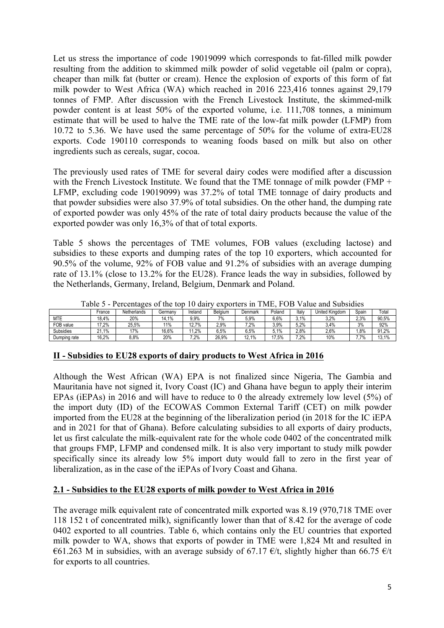Let us stress the importance of code 19019099 which corresponds to fat-filled milk powder resulting from the addition to skimmed milk powder of solid vegetable oil (palm or copra), cheaper than milk fat (butter or cream). Hence the explosion of exports of this form of fat milk powder to West Africa (WA) which reached in 2016 223,416 tonnes against 29,179 tonnes of FMP. After discussion with the French Livestock Institute, the skimmed-milk powder content is at least 50% of the exported volume, i.e. 111,708 tonnes, a minimum estimate that will be used to halve the TME rate of the low-fat milk powder (LFMP) from 10.72 to 5.36. We have used the same percentage of 50% for the volume of extra-EU28 exports. Code 190110 corresponds to weaning foods based on milk but also on other ingredients such as cereals, sugar, cocoa.

The previously used rates of TME for several dairy codes were modified after a discussion with the French Livestock Institute. We found that the TME tonnage of milk powder (FMP  $+$ LFMP, excluding code 19019099) was 37.2% of total TME tonnage of dairy products and that powder subsidies were also 37.9% of total subsidies. On the other hand, the dumping rate of exported powder was only 45% of the rate of total dairy products because the value of the exported powder was only 16,3% of that of total exports.

Table 5 shows the percentages of TME volumes, FOB values (excluding lactose) and subsidies to these exports and dumping rates of the top 10 exporters, which accounted for 90.5% of the volume, 92% of FOB value and 91.2% of subsidies with an average dumping rate of 13.1% (close to 13.2% for the EU28). France leads the way in subsidies, followed by the Netherlands, Germany, Ireland, Belgium, Denmark and Poland.

|              | r aviv v<br>creditages of the top To dail<br>$\alpha$ DOI $\alpha$ io III TIVILI<br>anic and bubbidies |             |          |         |         |         |          |       |                |       |       |  |  |  |  |
|--------------|--------------------------------------------------------------------------------------------------------|-------------|----------|---------|---------|---------|----------|-------|----------------|-------|-------|--|--|--|--|
|              | France                                                                                                 | Netherlands | Germanv  | Ireland | Belaium | Denmark | Poland   | Italy | United Kinadom | Spain | Total |  |  |  |  |
| MTE          | 8.4%                                                                                                   | 20%         | 1%<br>14 | 9.9%    | 7%      | 5.9%    | 6.6%     | 3.1%  | 3.2%           | 2.3%  | 90,5% |  |  |  |  |
| FOB value    | 7.2%                                                                                                   | 25.5%       | $11\%$   | 7%      | 2.9%    | 7.2%    | 3.9%     | 5.2%  | 3.4%           | 3%    | 92%   |  |  |  |  |
| Subsidies    | 1%<br>n,                                                                                               | 17%         | 16.6%    | .2%     | 6.5%    | ô.5%    | .1%      | 2.8%  | 2,6%           | .8%   | 91.2% |  |  |  |  |
| Dumping rate | 16.2%                                                                                                  | 8,8%        | 20%      | 7.2%    | 26.9%   | 12.1%   | $'7.5\%$ | 7.2%  | 10%            | 7.7%  | 13.1% |  |  |  |  |

Table 5 - Percentages of the top 10 dairy exporters in TME, FOB Value and Subsidies

#### **II - Subsidies to EU28 exports of dairy products to West Africa in 2016**

Although the West African (WA) EPA is not finalized since Nigeria, The Gambia and Mauritania have not signed it, Ivory Coast (IC) and Ghana have begun to apply their interim EPAs (iEPAs) in 2016 and will have to reduce to 0 the already extremely low level (5%) of the import duty (ID) of the ECOWAS Common External Tariff (CET) on milk powder imported from the EU28 at the beginning of the liberalization period (in 2018 for the IC iEPA and in 2021 for that of Ghana). Before calculating subsidies to all exports of dairy products, let us first calculate the milk-equivalent rate for the whole code 0402 of the concentrated milk that groups FMP, LFMP and condensed milk. It is also very important to study milk powder specifically since its already low 5% import duty would fall to zero in the first year of liberalization, as in the case of the iEPAs of Ivory Coast and Ghana.

## **2.1 - Subsidies to the EU28 exports of milk powder to West Africa in 2016**

The average milk equivalent rate of concentrated milk exported was 8.19 (970,718 TME over 118 152 t of concentrated milk), significantly lower than that of 8.42 for the average of code 0402 exported to all countries. Table 6, which contains only the EU countries that exported milk powder to WA, shows that exports of powder in TME were 1,824 Mt and resulted in €61.263 M in subsidies, with an average subsidy of 67.17  $\epsilon/t$ , slightly higher than 66.75  $\epsilon/t$ for exports to all countries.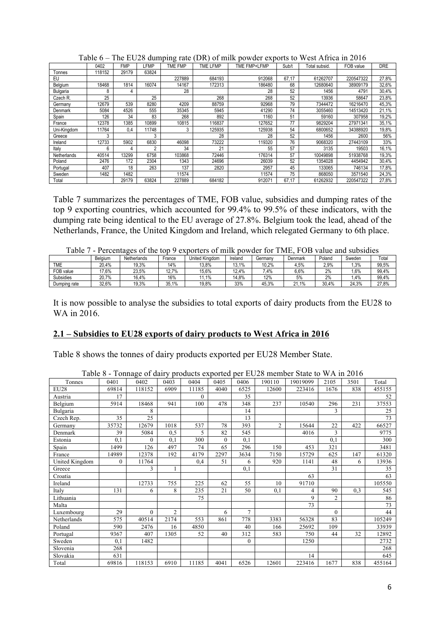|             | 0402   | <b>FMP</b> | LFMP  | <b>TME FMP</b> | <b>TME LFMP</b> | TME FMP+LFMP | Sub/t | i otal subsid. | FOB value | <b>DRE</b> |
|-------------|--------|------------|-------|----------------|-----------------|--------------|-------|----------------|-----------|------------|
| Tonnes      | 118152 | 29179      | 63824 |                |                 |              |       |                |           |            |
| EU          |        |            |       | 227889         | 684193          | 912068       | 67,17 | 61262707       | 220547322 | 27,8%      |
| Belgium     | 18468  | 1814       | 16074 | 14167          | 172313          | 186480       | 68    | 12680640       | 38909179  | 32,6%      |
| Bulgaria    | 8      | 4          |       | 28             |                 | 28           | 52    | 1456           | 4791      | 30,4%      |
| Czech R.    | 25     |            | 25    |                | 268             | 268          | 52    | 13936          | 58647     | 23,8%      |
| Germany     | 12679  | 539        | 8280  | 4209           | 88759           | 92968        | 79    | 7344472        | 16216470  | 45,3%      |
| Denmark     | 5084   | 4526       | 555   | 35345          | 5945            | 41290        | 74    | 3055460        | 14513420  | 21,1%      |
| Spain       | 126    | 34         | 83    | 268            | 892             | 1160         | 51    | 59160          | 307958    | 19,2%      |
| France      | 12378  | 1385       | 10899 | 10815          | 116837          | 127652       | 77    | 9829204        | 27971341  | 35,1%      |
| Uni-Kingdom | 11764  | 0.4        | 11748 |                | 125935          | 125938       | 54    | 6800652        | 34388920  | 19,8%      |
| Greece      | 3      |            | 3     |                | 28              | 28           | 52    | 1456           | 2600      | 56%        |
| Ireland     | 12733  | 5902       | 6830  | 46098          | 73222           | 119320       | 76    | 9068320        | 27443109  | 33%        |
| Italy       | ĥ      |            | ົ     | 34             | 21              | 55           | 57    | 3135           | 19503     | 16,1%      |
| Netherlands | 40514  | 13299      | 6758  | 103868         | 72446           | 176314       | 57    | 10049898       | 51938768  | 19,3%      |
| Poland      | 2476   | 172        | 2304  | 1343           | 24696           | 26039        | 52    | 1354028        | 4454942   | 30,4%      |
| Portugal    | 407    | 18         | 263   | 137            | 2820            | 2957         | 45    | 33065          | 746134    | 17,8%      |
| Sweden      | 1482   | 1482       |       | 11574          |                 | 11574        | 75    | 868050         | 3571540   | 24,3%      |
| Total       |        | 29179      | 63824 | 227889         | 684182          | 912071       | 67.17 | 61262932       | 220547322 | 27,8%      |

Table 6 – The EU28 dumping rate (DR) of milk powder exports to West Africa in 2016

Table 7 summarizes the percentages of TME, FOB value, subsidies and dumping rates of the top 9 exporting countries, which accounted for 99.4% to 99.5% of these indicators, with the dumping rate being identical to the EU average of 27.8%. Belgium took the lead, ahead of the Netherlands, France, the United Kingdom and Ireland, which relegated Germany to 6th place.

| i avit       |         | i ciccinages of the top |        | CADUITUIS UI IIIIIN DUWUCI IUI |         |         | $\blacksquare$<br>L V.D |        | value ally subsidies |       |
|--------------|---------|-------------------------|--------|--------------------------------|---------|---------|-------------------------|--------|----------------------|-------|
|              | Belaium | Netherlands             | France | United Kinadom                 | Ireland | Germanv | Denmark                 | Poland | Sweden               | Total |
| TME          | 20.4%   | 19.3%                   | 14%    | 13.8%                          | 13.1%   | 10.2%   | 4.5%                    | 2.9%   | 1.3%                 | 99.5% |
| FOB value    | 17.6%   | 23.5%                   | 12.7%  | 15.6%                          | 12.4%   | .4%     | 6,6%                    | 2%     | 1.6%                 | 99.4% |
| Subsidies    | 20.7%   | 16.4%                   | 16%    | 1.1%                           | 14.8%   | 12%     | 5%                      | 2%     | 1.4%                 | 99,4% |
| Dumping rate | 32.6%   | 19,3%                   | 35.1%  | 19,8%                          | 33%     | 45.3%   | 21.1%                   | 30.4%  | 24.3%                | 27.8% |

Table 7 - Percentages of the top 9 exporters of milk powder for TME, FOB value and subsidies

It is now possible to analyse the subsidies to total exports of dairy products from the EU28 to WA in 2016.

## **2.1 – Subsidies to EU28 exports of dairy products to West Africa in 2016**

Table 8 shows the tonnes of dairy products exported per EU28 Member State.

|                |          |          |                |          |              |              |                | Table 8 - Tonnage of dairy products exported per EU28 member State to WA in 2016 |          |      |        |
|----------------|----------|----------|----------------|----------|--------------|--------------|----------------|----------------------------------------------------------------------------------|----------|------|--------|
| Tonnes         | 0401     | 0402     | 0403           | 0404     | 0405         | 0406         | 190110         | 19019099                                                                         | 2105     | 3501 | Total  |
| EU28           | 69814    | 118152   | 6909           | 11185    | 4040         | 6525         | 12600          | 223416                                                                           | 1676     | 838  | 455155 |
| Austria        | 17       |          |                | $\Omega$ |              | 35           |                |                                                                                  |          |      | 52     |
| Belgium        | 5914     | 18468    | 941            | 100      | 478          | 348          | 237            | 10540                                                                            | 296      | 231  | 37553  |
| Bulgaria       |          | 8        |                |          |              | 14           |                |                                                                                  | 3        |      | 25     |
| Czech Rep.     | 35       | 25       |                |          |              | 13           |                |                                                                                  |          |      | 73     |
| Germany        | 35732    | 12679    | 1018           | 537      | 78           | 393          | $\overline{c}$ | 15644                                                                            | 22       | 422  | 66527  |
| Denmark        | 39       | 5084     | 0,5            | 5        | 82           | 545          |                | 4016                                                                             | 3        |      | 9775   |
| Estonia        | 0.1      | $\theta$ | 0.1            | 300      | $\mathbf{0}$ | 0,1          |                |                                                                                  | 0.1      |      | 300    |
| Spain          | 1499     | 126      | 497            | 74       | 65           | 296          | 150            | 453                                                                              | 321      |      | 3481   |
| France         | 14989    | 12378    | 192            | 4179     | 2297         | 3634         | 7150           | 15729                                                                            | 625      | 147  | 61320  |
| United Kingdom | $\Omega$ | 11764    |                | 0.4      | 51           | 6            | 920            | 1141                                                                             | 48       | 6    | 13936  |
| Greece         |          | 3        |                |          |              | 0,1          |                |                                                                                  | 31       |      | 35     |
| Croatia        |          |          |                |          |              |              |                | 63                                                                               |          |      | 63     |
| Ireland        |          | 12733    | 755            | 225      | 62           | 55           | 10             | 91710                                                                            |          |      | 105550 |
| Italy          | 131      | 6        | 8              | 235      | 21           | 50           | 0,1            | 4                                                                                | 90       | 0.3  | 545    |
| Lithuania      |          |          |                | 75       |              |              |                | 9                                                                                | 2        |      | 86     |
| Malta          |          |          |                |          |              |              |                | 73                                                                               |          |      | 73     |
| Luxembourg     | 29       | $\theta$ | $\overline{c}$ |          | 6            | $\tau$       |                |                                                                                  | $\theta$ |      | 44     |
| Netherlands    | 575      | 40514    | 2174           | 553      | 861          | 778          | 3383           | 56328                                                                            | 83       |      | 105249 |
| Poland         | 590      | 2476     | 16             | 4850     |              | 40           | 166            | 25692                                                                            | 109      |      | 33939  |
| Portugal       | 9367     | 407      | 1305           | 52       | 40           | 312          | 583            | 750                                                                              | 44       | 32   | 12892  |
| Sweden         | 0.1      | 1482     |                |          |              | $\mathbf{0}$ |                | 1250                                                                             |          |      | 2732   |
| Slovenia       | 268      |          |                |          |              |              |                |                                                                                  |          |      | 268    |
| Slovakia       | 631      |          |                |          |              |              |                | 14                                                                               |          |      | 645    |
| Total          | 69816    | 118153   | 6910           | 11185    | 4041         | 6526         | 12601          | 223416                                                                           | 1677     | 838  | 455164 |

6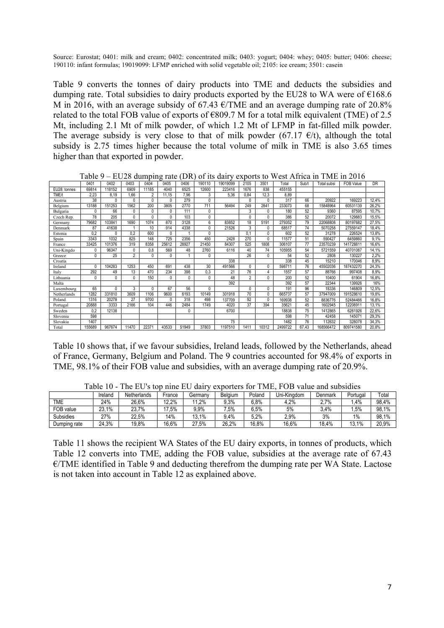Source: Eurostat; 0401; milk and cream; 0402; concentrated milk; 0403; yogurt; 0404; whey; 0405; butter; 0406; cheese; 190110: infant formulas; 19019099: LFMP enriched with solid vegetable oil; 2105: ice cream; 3501: casein

Table 9 converts the tonnes of dairy products into TME and deducts the subsidies and dumping rate. Total subsidies to dairy products exported by the EU28 to WA were of  $\epsilon$ 168.6 M in 2016, with an average subsidy of 67.43  $\epsilon$ /TME and an average dumping rate of 20.8% related to the total FOB value of exports of  $\epsilon$ 809.7 M for a total milk equivalent (TME) of 2.5 Mt, including 2.1 Mt of milk powder, of which 1.2 Mt of LFMP in fat-filled milk powder. The average subsidy is very close to that of milk powder (67.17  $\epsilon/t$ ), although the total subsidy is 2.75 times higher because the total volume of milk in TME is also 3.65 times higher than that exported in powder.

|              | 0401   | 0402         | 0403           | 0404           | 0405  | 0406  | 190110       | 19019099 | 2105           | 3501         | Total   | Sub/t | Total subsi | <b>FOB Value</b> | DR    |
|--------------|--------|--------------|----------------|----------------|-------|-------|--------------|----------|----------------|--------------|---------|-------|-------------|------------------|-------|
| EU28: tonnes | 69814  | 118152       | 6909           | 11185          | 4040  | 6525  | 12600        | 223416   | 1676           | 838          | 455155  |       |             |                  |       |
| TME/t        | 2,23   | 8.19         | 1.66           | $\overline{2}$ | 11,15 | 7,96  | 3            | 5,36     | 0.84           | 12.3         | 8.89    |       |             |                  |       |
| Austria      | 38     | <sup>0</sup> | O              | 0              | 0     | 279   | $\Omega$     |          | $\mathbf{0}$   | $\Omega$     | 317     | 66    | 20922       | 169223           | 12,4% |
| Belgium      | 13188  | 151253       | 1562           | 200            | 3805  | 2770  | 711          | 56494    | 249            | 2841         | 233073  | 68    | 15848964    | 60531139         | 26,2% |
| Bulgaria     | 0      | 66           | $\Omega$       | 0              | 0     | 111   | $\theta$     |          | 3              | 0            | 180     | 52    | 9360        | 87595            | 10,7% |
| Czech Rep.   | 78     | 205          | $\Omega$       | 0              | 0     | 103   | $\theta$     |          | $\mathbf{0}$   | $\Omega$     | 386     | 52    | 20072       | 129883           | 15,5% |
| Germany      | 79682  | 103841       | 1690           | 1074           | 870   | 3128  | 6            | 83852    | 18             | 5191         | 279352  | 79    | 22068808    | 80197682         | 27,5% |
| Denmark      | 87     | 41638        |                | 10             | 914   | 4338  | $\bigcap$    | 21526    | 3              | 0            | 68517   | 74    | 5070258     | 27559147         | 18,4% |
| Estonia      | 0.2    | $\Omega$     | 0.2            | 600            | 0     |       | $\bigcap$    |          | 0.1            | $\mathbf{0}$ | 602     | 52    | 31278       | 226524           | 13,8% |
| Spain        | 3343   | 1032         | 825            | 148            | 725   | 2356  | 450          | 2428     | 270            | $\Omega$     | 11577   | 51    | 590427      | 6459860          | 9,1%  |
| France       | 33425  | 101376       | 319            | 8358           | 25612 | 28927 | 21450        | 84307    | 525            | 1808         | 306107  | 77    | 23570239    | 141728811        | 16,6% |
| Uni-Kingdo   | 0      | 96347        | Λ              | 0,8            | 569   | 48    | 2760         | 6116     | 40             | 74           | 105955  | 54    | 5721559     | 40701087         | 14,1% |
| Greece       | 0      | 25           | $\overline{2}$ | 0              | 0     |       | 0            |          | 26             | 0            | 54      | 52    | 2808        | 130227           | 2,2%  |
| Croatia      |        |              |                |                |       |       |              | 338      |                |              | 338     | 45    | 15210       | 170046           | 8,9%  |
| Ireland      | 0      | 104283       | 1253           | 450            | 691   | 438   | 30           | 491566   | $\Omega$       | 0            | 598711  | 76    | 45502036    | 187432270        | 24,3% |
| Italy        | 292    | 49           | 13             | 470            | 234   | 398   | 0,3          | 21       | 76             | 4            | 1557    | 57    | 88766       | 997408           | 8,9%  |
| Lithuania    | 0      | 0            | $\mathbf{0}$   | 150            | 0     | 0     | $\mathbf{0}$ | 48       | $\overline{2}$ | $\mathbf{0}$ | 200     | 52    | 10400       | 61904            | 16,8% |
| Malta        |        |              |                |                |       |       |              | 392      |                |              | 392     | 57    | 22344       | 139926           | 16%   |
| Luxembourg   | 65     | 0            | 3              | 0              | 67    | 56    | $\Omega$     |          | $\Omega$       | 0            | 191     | 96    | 18336       | 146809           | 12,5% |
| Netherlands  | 1282   | 331810       | 3609           | 1106           | 9600  | 6193  | 10149        | 301918   | 70             | 0            | 665737  | 57    | 37947009    | 191528610        | 19,8% |
| Poland       | 1316   | 20278        | 27             | 9700           | 0     | 318   | 498          | 137709   | 92             | 0            | 169938  | 52    | 8836776     | 52484466         | 16,8% |
| Portugal     | 20888  | 3333         | 2166           | 104            | 446   | 2484  | 1749         | 4020     | 37             | 394          | 35621   | 45    | 1602945     | 12208911         | 13,1% |
| Sweden       | 0,2    | 12138        |                |                |       | 0     |              | 6700     |                |              | 18838   | 75    | 1412865     | 6261926          | 22,6% |
| Slovenia     | 598    |              |                |                |       |       |              |          |                |              | 598     | 71    | 42458       | 145071           | 29,3% |
| Slovakia     | 1407   |              |                |                |       |       |              | 75       |                |              | 1482    | 76    | 112632      | 328078           | 34,3% |
| Total        | 155689 | 967674       | 11470          | 22371          | 43533 | 51949 | 37803        | 1197510  | 1411           | 10312        | 2499722 | 67.43 | 168566472   | 809741580        | 20.8% |

Table 9 – EU28 dumping rate (DR) of its dairy exports to West Africa in TME in 2016

Table 10 shows that, if we favour subsidies, Ireland leads, followed by the Netherlands, ahead of France, Germany, Belgium and Poland. The 9 countries accounted for 98.4% of exports in TME, 98.1% of their FOB value and subsidies, with an average dumping rate of 20.9%.

|              | Ireland | Netherlands | France | Germanv | Belaium | Poland  | Uni-Kinadom | Denmark | Portugal | ™otal |
|--------------|---------|-------------|--------|---------|---------|---------|-------------|---------|----------|-------|
| TME          | 24%     | 26.6%       | 12.2%  | .2%     | 9.3%    | 6.8%    | 4.2%        | ?.7%    | .4%      | 98.4% |
| FOB value    | 23.1%   | 23.7%       | 17.5%  | 9.9%    | .5%     | $6.5\%$ | 5%          | 3.4%    | .5%      | 98.1% |
| Subsidies    | 27%     | 22.5%       | 14%    | 13.1%   | 9.4%    | 5,2%    | 2,9%        | 3%      | 1%       | 98,1% |
| Dumping rate | 24.3%   | 19.8%       | 16.6%  | 27,5%   | 26.2%   | 16,8%   | 16.6%       | 18.4%   | 13,1%    | 20,9% |

Table 10 - The EU's top nine EU dairy exporters for TME, FOB value and subsidies

Table 11 shows the recipient WA States of the EU dairy exports, in tonnes of products, which Table 12 converts into TME, adding the FOB value, subsidies at the average rate of 67.43 €/TME identified in Table 9 and deducting therefrom the dumping rate per WA State. Lactose is not taken into account in Table 12 as explained above.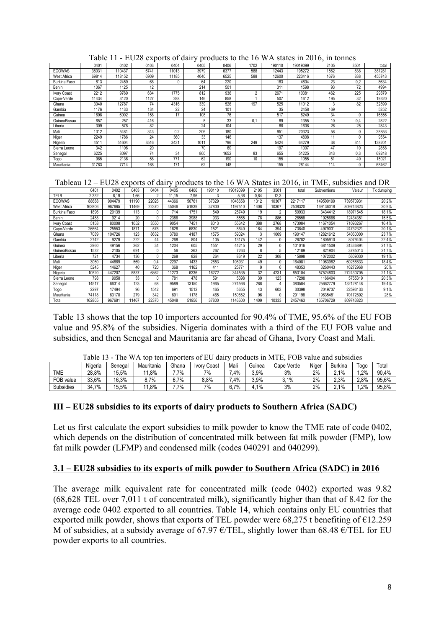|               | 0401  | 0402   | 0403 | 0404  | 0405 | 0406 | 1702     | 190110 | 19019099 | 2105 | 3501 | total  |
|---------------|-------|--------|------|-------|------|------|----------|--------|----------|------|------|--------|
| <b>ECOWAS</b> | 38031 | 110437 | 6741 | 11013 | 3979 | 6377 | 588      | 12443  | 195272   | 1562 | 838  | 387281 |
| West Africa   | 69814 | 118152 | 6909 | 11185 | 4040 | 6525 | 588      | 12600  | 223416   | 1676 | 838  | 455743 |
| Burkina Faso  | 813   | 2459   | 68   | 0     | 64   | 220  |          | 183    | 4804     | 23   | 0,2  | 8634   |
| <b>Benin</b>  | 1067  | 1125   | 12   |       | 214  | 501  |          | 311    | 1598     | 93   | 72   | 4994   |
| Ivory Coast   | 2212  | 9769   | 634  | 1775  | 812  | 936  | $\Omega$ | 2671   | 10381    | 462  | 225  | 29879  |
| Cape-Verde    | 11434 | 3120   | 1127 | 288   | 146  | 858  |          | 507    | 1612     | 195  | 32   | 19320  |
| Ghana         | 3040  | 12787  | 74   | 4316  | 339  | 526  | 197      | 525    | 11012    |      | 82   | 32899  |
| Gambia        | 1176  | 1133   | 134  | 22    | 24   | 101  |          | 35     | 2458     | 169  |      | 5252   |
| Guinea        | 1698  | 6002   | 158  | 17    | 108  | 76   |          | 517    | 8249     | 34   |      | 16856  |
| GuineaBissau  | 657   | 257    | 416  |       |      | 33   | 0.1      | 89     | 1355     | 10   | 0.4  | 2822   |
| Liberia       | 309   | 578    | 82   |       | 24   | 104  |          | 88     | 1608     | 26   | 25   | 2843   |
| Mali          | 1312  | 5481   | 343  | 0.2   | 206  | 180  |          | 951    | 20323    | 58   |      | 28853  |
| Niger         | 2249  | 1786   | 24   | 360   | 33   | 146  |          | 137    | 4808     |      |      | 9554   |
| Nigeria       | 4511  | 54604  | 3516 | 3431  | 1011 | 796  | 249      | 5424   | 64279    | 38   | 344  | 138201 |
| Sierra Leone  | 342   | 1106   | 20   |       | 70   | 60   |          | 197    | 1007     | 47   | 10   | 2858   |
| Senegal       | 6225  | 8097   | 74   | 34    | 860  | 1652 | 83       | 655    | 51225    | 343  | 0.3  | 69248  |
| Togo          | 985   | 2136   | 58   | 771   | 62   | 190  | 10       | 155    | 1055     | 51   | 49   | 15021  |
| Mauritania    | 31783 | 7714   | 168  | 171   | 62   | 148  |          | 155    | 28144    | 114  |      | 68462  |

Table 11 - EU28 exports of dairy products to the 16 WA states in 2016, in tonnes

| Tableau 12 – EU28 exports of dairy products to the 16 WA States in 2016, in TME, subsidies and DR |  |  |  |  |  |  |  |  |  |
|---------------------------------------------------------------------------------------------------|--|--|--|--|--|--|--|--|--|
|                                                                                                   |  |  |  |  |  |  |  |  |  |

|               | 0401   | 0402   | 0403  | 0404  | 0405  | 0406  | 190110 | 19019099 | 2105 | 3501  | total   | Subventions | Valeur    | Tx dumping |
|---------------|--------|--------|-------|-------|-------|-------|--------|----------|------|-------|---------|-------------|-----------|------------|
| TEL/t         | 2.332  | 8.19   | .66   | 2     | 11.15 | 7.96  | 3      | 5.36     | 0.84 | 12.3  |         |             |           |            |
| <b>ECOWAS</b> | 88688  | 904479 | 11190 | 22026 | 44366 | 50761 | 37329  | 1046658  | 1312 | 10307 | 2217117 | 149500199   | 739570931 | 20,2%      |
| West Africa   | 162806 | 967665 | 1469  | 22370 | 45046 | 51939 | 37800  | 1197510  | 1408 | 10307 | 2508320 | 169136018   | 809743823 | 20,9%      |
| Burkina Faso  | 1896   | 20139  | 113   | 0     | 714   | 1751  | 549    | 25749    | 19   | 2     | 50933   | 3434412     | 18971545  | 18,1%      |
| <b>Benin</b>  | 2488   | 9214   | 20    | 0     | 2386  | 3988  | 933    | 8565     | 78   | 886   | 28558   | 1925666     | 12434351  | 15,5%      |
| Ivory Coast   | 5158   | 80008  | 1052  | 3550  | 9054  | 7451  | 8013   | 55642    | 388  | 2768  | 173084  | 1671054     | 71093267  | 16,4%      |
| Cape-Verde    | 26664  | 25553  | 1871  | 576   | 1628  | 6830  | 1521   | 8640     | 164  | 394   | 73840   | 4979031     | 24732321  | 20,1%      |
| Ghana         | 7089   | 104726 | 123   | 8632  | 3780  | 4187  | 1575   | 59024    | 3    | 1009  | 190147  | 12821612    | 54060000  | 23,7%      |
| Gambia        | 2742   | 9279   | 222   | 44    | 268   | 804   | 105    | 13175    | 142  | 0     | 26782   | 1805910     | 8079404   | 22,4%      |
| Guinea        | 3960   | 49156  | 262   | 34    | 1204  | 605   | 1551   | 44215    | 29   | 0     | 101016  | 6811509     | 31336894  | 21,7%      |
| GuineaBissau  | 1532   | 2105   | 691   | 0     | 56    | 263   | 267    | 7263     | 8    | 5     | 12189   | 821904      | 3785013   | 21,7%      |
| Liberia       | 721    | 4734   | 136   | 0     | 268   | 828   | 264    | 8619     | 22   | 308   | 15898   | 1072002     | 5609030   | 19,1%      |
| Mali          | 3060   | 44889  | 569   | 0.4   | 2297  | 1433  | 2853   | 108931   | 49   | 0     | 164081  | 1063982     | 60288833  | 18,4%      |
| Niger         | 5245   | 14627  | 40    | 720   | 368   | 1162  | 411    | 25771    | q    |       | 48353   | 3260443     | 16272968  | 20%        |
| Nigeria       | 10520  | 447207 | 5837  | 6862  | 11273 | 6336  | 16272  | 344535   | 32   | 4231  | 853104  | 57524803    | 272430705 | 21,1%      |
| Sierra Leone  | 798    | 9058   | 33    | 0     | 781   | 478   | 591    | 5398     | 39   | 123   | 17298   | 1166404     | 5755319   | 20,3%      |
| Senegal       | 14517  | 66314  | 123   | 68    | 9589  | 13150 | 1965   | 274566   | 288  |       | 380584  | 25662779    | 132128148 | 19,4%      |
| Togo          | 2297   | 17494  | 96    | 1542  | 691   | 1512  | 465    | 5655     | 43   | 603   | 30398   | 2049737     | 22593133  | 9,1%       |
| Mauritania    | 74118  | 63178  | 279   | 342   | 691   | 1178  | 465    | 150852   | 96   | 0     | 291198  | 19635481    | 70172892  | 28%        |
| Total         | 162805 | 967681 | 11467 | 22370 | 45048 | 51956 | 37800  | 1146600  | 1409 | 10333 | 2457463 | 165706729   | 809743823 |            |

Table 13 shows that the top 10 importers accounted for 90.4% of TME, 95.6% of the EU FOB value and 95.8% of the subsidies. Nigeria dominates with a third of the EU FOB value and subsidies, and then Senegal and Mauritania are far ahead of Ghana, Ivory Coast and Mali.

|                  | $1$ avie 15 –<br>11 C<br><b>VV</b><br>A top ten importers of EU<br>ually products in MTE.<br>value allu subsitues<br><b>TUD</b> |         |            |         |                    |      |         |            |       |                |               |       |
|------------------|---------------------------------------------------------------------------------------------------------------------------------|---------|------------|---------|--------------------|------|---------|------------|-------|----------------|---------------|-------|
|                  | Nigeria                                                                                                                         | Seneɑal | Mauritania | Ghana   | <b>Ivory Coast</b> | Mali | Guinea  | Cape Verde | Niger | <b>Burkina</b> | ogo           | Total |
| TME              | 28.8%<br>28                                                                                                                     | 15.5%   | $.8\%$     | $7.7\%$ | 7%                 | .4%  | 3.9%    | 3%         | 2%    | ) 10/          | 20/2<br>.Z /U | 90.4% |
| FOB value        | 33.6%<br>२२                                                                                                                     | 16.3%   | $7\%$      | 7%      | 8.8%               | .4%  | $3.9\%$ | $1\%$      | 2%    | 20/<br>0/ 2.0  | 2.8%          | 95.6% |
| <b>Subsidies</b> | 7%<br>34.                                                                                                                       | 15.5%   | .8%        | 7,7%    | 7%                 | 6.7% | 1%      | 3%         | 2%    | 10/            | .2%           | 95.8% |

Table 13 - The WA top ten importers of EU dairy products in MTE, FOB value and subsidies

## **III – EU28 subsidies to its exports of dairy products to Southern Africa (SADC)**

Let us first calculate the export subsidies to milk powder to know the TME rate of code 0402, which depends on the distribution of concentrated milk between fat milk powder (FMP), low fat milk powder (LFMP) and condensed milk (codes 040291 and 040299).

## **3.1 – EU28 subsidies to its exports of milk powder to Southern Africa (SADC) in 2016**

The average milk equivalent rate for concentrated milk (code 0402) exported was 9.82 (68,628 TEL over 7,011 t of concentrated milk), significantly higher than that of 8.42 for the average code 0402 exported to all countries. Table 14, which contains only EU countries that exported milk powder, shows that exports of TEL powder were  $68,275$  t benefiting of  $E12.259$ M of subsidies, at a subsidy average of 67.97  $\epsilon$ /TEL, slightly lower than 68.48  $\epsilon$ /TEL for EU powder exports to all countries.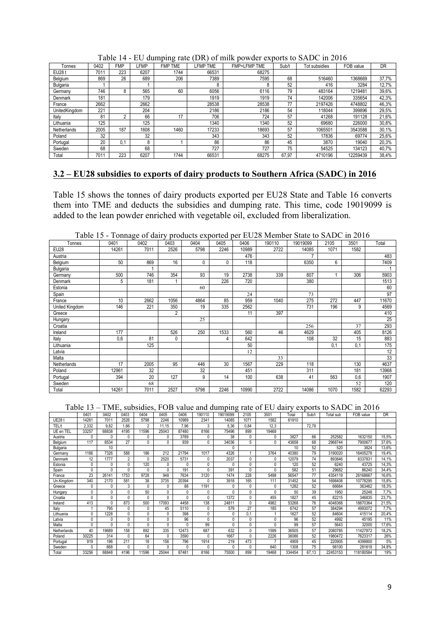| Tonnes        | 0402 | <b>FMP</b> | <b>FMP</b> | ັ<br><b>FMP</b><br><b>TME</b> | <b>FMP</b><br><b>TME</b> | <b>FMP+LFMP TME</b> | Sub/t | Tot subsidies | FOB value | DR    |
|---------------|------|------------|------------|-------------------------------|--------------------------|---------------------|-------|---------------|-----------|-------|
| <b>EU28 t</b> | 7011 | 223        | 6207       | 1744                          | 66531                    | 68275               |       |               |           |       |
| Belgium       | 869  | 26         | 689        | 206                           | 7389                     | 7595                | 68    | 516460        | 1368669   | 37,7% |
| Bulgaria      |      |            |            |                               | 8                        | 8                   | 52    | 416           | 3284      | 12,7% |
| Germany       | 746  | 8          | 565        | 60                            | 6056                     | 6116                | 79    | 483164        | 1219481   | 39,6% |
| Denmark       | 181  |            | 179        |                               | 1919                     | 1919                | 74    | 142006        | 335654    | 42,3% |
| France        | 2662 |            | 2662       |                               | 28538                    | 28538               | 77    | 2197426       | 4748802   | 46,3% |
| UnitedKingdom | 221  |            | 204        |                               | 2186                     | 2186                | 54    | 118044        | 399896    | 29,5% |
| Italy         | 81   | c          | 66         | 17                            | 706                      | 724                 | 57    | 41268         | 191128    | 21,6% |
| Lithuania     | 125  |            | 125        |                               | 1340                     | 1340                | 52    | 69680         | 226000    | 30,8% |
| Netherlands   | 2005 | 187        | 1608       | 1460                          | 17233                    | 18693               | 57    | 1065501       | 3543588   | 30,1% |
| Poland        | 32   |            | 32         |                               | 343                      | 343                 | 52    | 17836         | 69774     | 25,6% |
| Portugal      | 20   | 0.1        | 8          |                               | 86                       | 86                  | 45    | 3870          | 19040     | 20,3% |
| Sweden        | 68   |            | 68         |                               | 727                      | 727                 | 75    | 54525         | 134123    | 40,7% |
| Total         | 7011 | 223        | 6207       | 1744                          | 66531                    | 68275               | 67.97 | 4710196       | 12259439  | 38,4% |

Table 14 - EU dumping rate (DR) of milk powder exports to SADC in 2016

# **3.2 – EU28 subsidies to exports of dairy products to Southern Africa (SADC) in 2016**

Table 15 shows the tonnes of dairy products exported per EU28 State and Table 16 converts them into TME and deducts the subsidies and dumping rate. This time, code 19019099 is added to the lean powder enriched with vegetable oil, excluded from liberalization.

| 1001010        |       | ronnage or aan |      | $0.10$ which $0.11$ | portou | ິ້    | $\sim$ 20 $\sim$ 1.10 $\sim$ 0.110 $\sim$ 0.1110 $\sim$ |          | ັ້   | $100 \times 111 = 010$ |       |
|----------------|-------|----------------|------|---------------------|--------|-------|---------------------------------------------------------|----------|------|------------------------|-------|
| Tonnes         | 0401  | 0402           | 0403 | 0404                | 0405   | 0406  | 190110                                                  | 19019099 | 2105 | 3501                   | Total |
| <b>EU28</b>    | 14261 | 7011           | 2526 | 5798                | 2246   | 10989 | 2722                                                    | 14085    | 1071 | 1582                   |       |
| Austria        |       |                |      |                     |        | 476   |                                                         |          |      |                        | 483   |
| Belgium        | 50    | 869            | 16   | 0                   | 0      | 118   |                                                         | 6350     | 6    |                        | 7409  |
| Bulgaria       |       |                |      |                     |        |       |                                                         |          |      |                        |       |
| Germany        | 500   | 746            | 354  | 93                  | 19     | 2738  | 339                                                     | 807      |      | 306                    | 5903  |
| Denmark        | 5     | 181            |      |                     | 226    | 720   |                                                         | 380      |      |                        | 1513  |
| Estonia        |       |                |      | 60                  |        |       |                                                         |          |      |                        | 60    |
| Spain          |       |                |      |                     |        | 24    |                                                         | 73       |      |                        | 97    |
| France         | 10    | 2662           | 1056 | 4864                | 85     | 959   | 1040                                                    | 275      | 272  | 447                    | 11670 |
| United Kingdom | 146   | 221            | 350  | 19                  | 335    | 2562  |                                                         | 731      | 196  | 9                      | 4569  |
| Greece         |       |                | 2    |                     |        | 11    | 397                                                     |          |      |                        | 410   |
| Hungary        |       |                |      | 25                  |        |       |                                                         |          |      |                        | 25    |
| Croatia        |       |                |      |                     |        |       |                                                         | 256      |      | 37                     | 293   |
| Ireland        | 177   |                | 526  | 250                 | 1533   | 560   | 46                                                      | 4629     |      | 405                    | 8126  |
| Italy          | 0,6   | 81             | 0    |                     | 4      | 642   |                                                         | 108      | 32   | 15                     | 883   |
| Lithuania      |       | 125            |      |                     |        | 50    |                                                         |          | 0,1  | 0,1                    | 175   |
| Latvia         |       |                |      |                     |        | 12    |                                                         |          |      |                        | 12    |
| Malta          |       |                |      |                     |        |       | 33                                                      |          |      |                        | 33    |
| Netherlands    | 17    | 2005           | 95   | 446                 | 30     | 1567  | 229                                                     | 118      |      | 130                    | 4637  |
| Poland         | 12961 | 32             |      | 32                  |        | 451   |                                                         | 311      |      | 181                    | 13968 |
| Portugal       | 394   | 20             | 127  | 9                   | 14     | 100   | 638                                                     | 41       | 563  | 0,6                    | 1907  |
| Sweden         |       | 68             |      |                     |        |       |                                                         |          |      | 52                     | 120   |
| Total          | 14261 | 7011           | 2527 | 5798                | 2246   | 10990 | 2722                                                    | 14086    | 1070 | 1582                   | 62293 |

Table 13 – TME, subsidies, FOB value and dumping rate of EU dairy exports to SADC in 2016

|              | 0401         | 0402  | 0403           | 0404           | 0405         | 0406         | 190110       | 19019099 | 2105     | 3501         | Total  | Sub/t | Total sub | FOB value | <b>DR</b> |
|--------------|--------------|-------|----------------|----------------|--------------|--------------|--------------|----------|----------|--------------|--------|-------|-----------|-----------|-----------|
| <b>UE281</b> | 14261        | 701   | 2526           | 5798           | 2246         | 10989        | 2341         | 14085    | 1071     | 1582         | 61910  |       |           |           |           |
| TEL/t        | 2,332        | 9.82  | 1.66           | $\overline{2}$ | 11.15        | 7.96         | 3            | 5.36     | 0.84     | 12.3         |        | 72,78 |           |           |           |
| UE en TEL    | 33257        | 68838 | 4195           | 11596          | 25043        | 87480        | 8166         | 75496    | 899      | 19468        |        |       |           |           |           |
| Austria      | 0            | O     | 0              | 0              | $\Omega$     | 3789         | 0            | 38       | 0        | $\mathbf{0}$ | 3827   | 66    | 252582    | 1632150   | 15,5%     |
| Belgium      | 117          | 8534  | 27             | 0              | n            | 939          | 0            | 34036    | 5        | $\theta$     | 43658  | 68    | 2968744   | 7900677   | 37,6%     |
| Bulgaria     |              | 10    |                |                |              |              |              | 0        |          |              | 10     | 52    | 520       | 3824      | 13,6%     |
| Germany      | 1166         | 7326  | 588            | 186            | 212          | 21794        | 1017         | 4326     |          | 3764         | 40380  | 79    | 3190020   | 16405278  | 19,4%     |
| Denmark      | 12           | 1777  | $\overline{2}$ | $\mathbf{0}$   | 2520         | 5731         | 0            | 2037     | 0        | 0            | 12079  | 74    | 893846    | 6337831   | 14,1%     |
| Estonia      | $\mathbf{0}$ | 0     | 0              | 120            | $\mathbf{0}$ | Λ            | $\mathbf{0}$ |          | 0        | 0            | 120    | 52    | 6240      | 43725     | 14,3%     |
| Spain        | 0            | O     | 0              | 0              |              | 191          | 0            | 391      | $\Omega$ | C            | 582    | 51    | 29682     | 86240     | 34,4%     |
| France       | 23           | 26141 | 1753           | 9728           | 948          | 7634         | 3120         | 1474     | 228      | 5498         | 56547  | 77    | 4354119   | 26168667  | 16,6%     |
| Un.Kingdom   | 340          | 2170  | 581            | 38             | 3735         | 20394        | 0            | 3918     | 165      | 111          | 31452  | 54    | 1698408   | 10778295  | 15,8%     |
| Greece       | $\mathbf{0}$ | 0     | 3              | $\Omega$       | $\Omega$     | 88           | 1191         | $\Omega$ | 0        | $\Omega$     | 1282   | 52    | 66664     | 363462    | 18,3%     |
| Hungary      | 0            | Λ     | 0              | 50             | <sup>n</sup> | <sup>0</sup> | 0            |          | 0        | n            | 50     | 39    | 1950      | 25248     | 7,7%      |
| Croatia      | 0            | 0     | 0              | 0              | n            | 0            | 0            | 1372     | 0        | 455          | 1827   | 45    | 82215     | 346835    | 23,7%     |
| Ireland      | 413          | O     | 873            | 500            | 17093        | 4458         | 138          | 24811    | 0        | 4982         | 53268  | 76    | 4048368   | 18870364  | 21,5%     |
| Italy        |              | 795   | 0              | 0              | 45           | 5110         | 0            | 579      | 27       | 185          | 6742   | 57    | 384294    | 4993072   | 7.7%      |
| Lithuania    | 0            | 1228  | 0              | 0              |              | 398          | 0            |          | 0.1      |              | 1627   | 52    | 84604     | 415114    | 20,4%     |
| Latvia       | 0            | 0     | 0              | 0              | $\Omega$     | 96           | 0            | 0        | 0        | 0            | 96     | 52    | 4992      | 45195     | 11%       |
| Malta        | 0            | 0     | 0              | 0              | $\Omega$     | 0            | 99           | $\Omega$ | 0        | $\Omega$     | 99     | 57    | 5643      | 32000     | 17,6%     |
| Netherlands  | 40           | 19689 | 158            | 892            | 335          | 12473        | 687          | 632      | 0        | 1599         | 36505  | 57    | 2080785   | 11427872  | 18,2%     |
| Poland       | 30225        | 314   | $\Omega$       | 64             | $\Omega$     | 3590         | 0            | 1667     | 0        | 2226         | 38086  | 52    | 1980472   | 7623317   | 26%       |
| Portugal     | 919          | 196   | 211            | 18             | 156          | 796          | 1914         | 219      | 473      |              | 4909   | 45    | 220905    | 4399800   | 5%        |
| Sweden       | 0            | 668   | 0              | $\mathbf{0}$   | $\Omega$     | 0            | 0            | $\Omega$ | 0        | 640          | 1308   | 75    | 98100     | 281618    | 34,8%     |
| Total        | 33256        | 68848 | 4196           | 11596          | 25044        | 87481        | 8166         | 75500    | 899      | 19468        | 334454 | 67.13 | 22453153  | 118180584 | 19%       |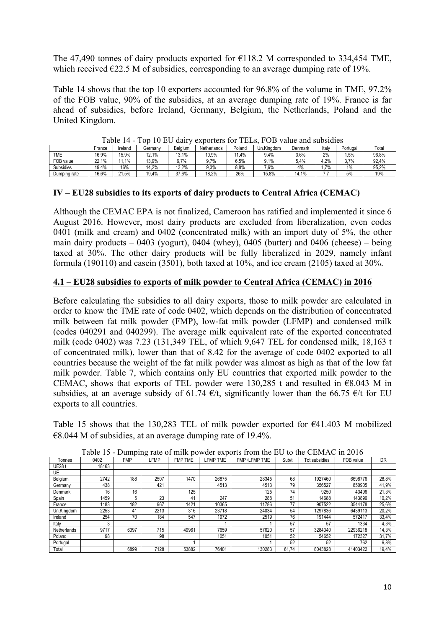The 47,490 tonnes of dairy products exported for  $E118.2$  M corresponded to 334,454 TME, which received  $\epsilon$ 22.5 M of subsidies, corresponding to an average dumping rate of 19%.

Table 14 shows that the top 10 exporters accounted for 96.8% of the volume in TME, 97.2% of the FOB value, 90% of the subsidies, at an average dumping rate of 19%. France is far ahead of subsidies, before Ireland, Germany, Belgium, the Netherlands, Poland and the United Kingdom.

|              |        | .       | .<br>.  | .       | $\frac{1}{2}$ | .      |            | $\frac{1}{2}$ |       |          |       |
|--------------|--------|---------|---------|---------|---------------|--------|------------|---------------|-------|----------|-------|
|              | France | Ireland | Germanv | Belaium | Netherlands   | Poland | Un.Kinadom | Denmark       | Italy | Portugal | Total |
| TME          | 16.9%  | 15.9%   | 12.1%   | 13.1%   | 10,9%         | 1.4%   | 9.4%       | 3,6%          | 2%    | .5%      | 96,8% |
| FOB value    | 22.1%  | 1.1%    | 13.9%   | $6.7\%$ | $.7\%$        | 6.5%   | $.1\%$     | 5.4%          | .2%   | 7%       | 92.4% |
| Subsidies    | 19.4%  | 16%     | 14.2%   | 13.2%   | 9.3%          | 8.8%   | $7.6\%$    | 4%            | 7%    | 1%       | 95.2% |
| Dumping rate | 16,6%  | 21.5%   | 19,4%   | 37.6%   | 18,2%         | 26%    | 15,8%      | 14.1%         |       | 5%       | 19%   |

Table 14 - Top 10 EU dairy exporters for TELs, FOB value and subsidies

## **IV – EU28 subsidies to its exports of dairy products to Central Africa (CEMAC)**

Although the CEMAC EPA is not finalized, Cameroon has ratified and implemented it since 6 August 2016. However, most dairy products are excluded from liberalization, even codes 0401 (milk and cream) and 0402 (concentrated milk) with an import duty of 5%, the other main dairy products – 0403 (yogurt), 0404 (whey), 0405 (butter) and 0406 (cheese) – being taxed at 30%. The other dairy products will be fully liberalized in 2029, namely infant formula (190110) and casein (3501), both taxed at 10%, and ice cream (2105) taxed at 30%.

# **4.1 – EU28 subsidies to exports of milk powder to Central Africa (CEMAC) in 2016**

Before calculating the subsidies to all dairy exports, those to milk powder are calculated in order to know the TME rate of code 0402, which depends on the distribution of concentrated milk between fat milk powder (FMP), low-fat milk powder (LFMP) and condensed milk (codes 040291 and 040299). The average milk equivalent rate of the exported concentrated milk (code 0402) was 7.23 (131,349 TEL, of which 9,647 TEL for condensed milk, 18,163 t of concentrated milk), lower than that of 8.42 for the average of code 0402 exported to all countries because the weight of the fat milk powder was almost as high as that of the low fat milk powder. Table 7, which contains only EU countries that exported milk powder to the CEMAC, shows that exports of TEL powder were 130,285 t and resulted in  $€8.043$  M in subsidies, at an average subsidy of 61.74  $\epsilon/t$ , significantly lower than the 66.75  $\epsilon/t$  for EU exports to all countries.

Table 15 shows that the 130,283 TEL of milk powder exported for  $\epsilon$ 41.403 M mobilized  $\epsilon$ 8.044 M of subsidies, at an average dumping rate of 19.4%.

|                |       |            |      | . .            |                 |              |       |               |           |           |
|----------------|-------|------------|------|----------------|-----------------|--------------|-------|---------------|-----------|-----------|
| Tonnes         | 0402  | <b>FMP</b> | LFMP | <b>FMP TME</b> | <b>LFMP TME</b> | FMP+LFMP TME | Sub/t | Tot subsidies | FOB value | <b>DR</b> |
| <b>UE28 t</b>  | 18163 |            |      |                |                 |              |       |               |           |           |
| UE             |       |            |      |                |                 |              |       |               |           |           |
| Belgium        | 2742  | 188        | 2507 | 1470           | 26875           | 28345        | 68    | 1927460       | 6698776   | 28,8%     |
| Germany        | 438   |            | 421  |                | 4513            | 4513         | 79    | 356527        | 850905    | 41,9%     |
| <b>Denmark</b> | 16    | 16         |      | 125            |                 | 125          | 74    | 9250          | 43496     | 21,3%     |
| Spain          | 1459  | 5          | 23   | 41             | 247             | 288          | 51    | 14688         | 143896    | 10,2%     |
| France         | 1183  | 182        | 967  | 1421           | 10365           | 11786        | 77    | 907522        | 3544178   | 25,6%     |
| Un.Kingdom     | 2253  | 41         | 2213 | 316            | 23718           | 24034        | 54    | 1297836       | 6439113   | 20,2%     |
| Ireland        | 254   | 70         | 184  | 547            | 1972            | 2519         | 76    | 191444        | 572417    | 33,4%     |
| Italv          |       |            |      |                |                 |              | 57    | 57            | 1334      | 4,3%      |
| Netherlands    | 9717  | 6397       | 715  | 49961          | 7659            | 57620        | 57    | 3284340       | 22936218  | 14,3%     |
| Poland         | 98    |            | 98   |                | 1051            | 1051         | 52    | 54652         | 172327    | 31,7%     |
| Portugal       |       |            |      |                |                 |              | 52    | 52            | 762       | 6,8%      |
| Total          |       | 6899       | 7128 | 53882          | 76401           | 130283       | 61.74 | 8043828       | 41403422  | 19,4%     |

Table 15 - Dumping rate of milk powder exports from the EU to the CEMAC in 2016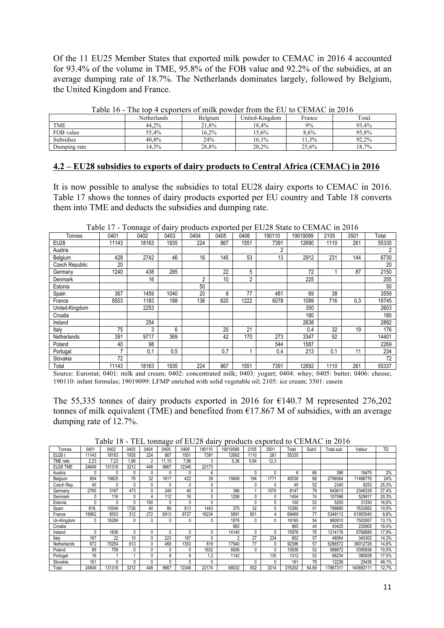Of the 11 EU25 Member States that exported milk powder to CEMAC in 2016 4 accounted for 93.4% of the volume in TME, 95.8% of the FOB value and 92.2% of the subsidies, at an average dumping rate of 18.7%. The Netherlands dominates largely, followed by Belgium, the United Kingdom and France.

|                  | Netherlands | Belgium | United-Kingdom | France | Total |
|------------------|-------------|---------|----------------|--------|-------|
| <b>TME</b>       | 44.2%       | 21,8%   | 18.4%          | 9%     | 93.4% |
| FOB value        | 55.4%       | 16.2%   | 15,6%          | 8.6%   | 95.8% |
| <b>Subsidies</b> | 40.8%       | 24%     | 16.1%          | 1,3%   | 92.2% |
| Dumping rate     | 14.3%       | 28,8%   | 20.2%          | 25.6%  | 18.7% |

Table 16 - The top 4 exporters of milk powder from the EU to CEMAC in 2016

#### **4.2 – EU28 subsidies to exports of dairy products to Central Africa (CEMAC) in 2016**

It is now possible to analyse the subsidies to total EU28 dairy exports to CEMAC in 2016. Table 17 shows the tonnes of dairy products exported per EU country and Table 18 converts them into TME and deducts the subsidies and dumping rate.

| Tonnes         | 0401  | 0402  | 0403 | 0404           | 0405 | 0406 | 190110         | 19019099 | 2105 | 3501 | Total |
|----------------|-------|-------|------|----------------|------|------|----------------|----------|------|------|-------|
| <b>EU28</b>    | 11143 | 18163 | 1935 | 224            | 867  | 1551 | 7391           | 12690    | 1110 | 261  | 55335 |
| Austria        |       |       |      |                |      |      | $\overline{2}$ |          |      |      | 2     |
| Belgium        | 428   | 2742  | 46   | 16             | 145  | 53   | 13             | 2912     | 231  | 144  | 6730  |
| Czech Republic | 20    |       |      |                |      |      |                |          |      |      | 20    |
| Germany        | 1240  | 438   | 285  |                | 22   | 5    |                | 72       |      | 87   | 2150  |
| Denmark        |       | 16    |      | $\overline{2}$ | 10   | 2    |                | 225      |      |      | 255   |
| Estonia        |       |       |      | 50             |      |      |                |          |      |      | 50    |
| Spain          | 367   | 1459  | 1040 | 20             | 8    | 77   | 481            | 69       | 38   |      | 3559  |
| France         | 8503  | 1183  | 188  | 136            | 620  | 1222 | 6078           | 1099     | 716  | 0,3  | 19745 |
| United-Kingdom |       | 2253  |      |                |      |      |                | 350      |      |      | 2603  |
| Croatia        |       |       |      |                |      |      |                | 180      |      |      | 180   |
| Ireland        |       | 254   |      |                |      |      |                | 2638     |      |      | 2892  |
| Italy          | 75    | 3     | 6    |                | 20   | 21   |                | 0,4      | 32   | 19   | 176   |
| Netherlands    | 391   | 9717  | 369  |                | 42   | 170  | 273            | 3347     | 92   |      | 14401 |
| Poland         | 40    | 98    |      |                |      |      | 544            | 1587     |      |      | 2269  |
| Portugal       | ⇁     | 0,1   | 0.5  |                | 0,7  |      | 0,4            | 213      | 0,1  | 11   | 234   |
| Slovakia       | 72    |       |      |                |      |      |                |          |      |      | 72    |
| Total          | 11143 | 18163 | 1935 | 224            | 867  | 1551 | 7391           | 12692    | 1110 | 261  | 55337 |

Table 17 - Tonnage of dairy products exported per EU28 State to CEMAC in 2016

Source: Eurostat; 0401: milk and cream; 0402: concentrated milk; 0403: yogurt; 0404: whey; 0405: butter; 0406: cheese; 190110: infant formulas; 19019099: LFMP enriched with solid vegetable oil; 2105: ice cream; 3501: casein

The 55,335 tonnes of dairy products exported in 2016 for  $\epsilon$ 140.7 M represented 276,202 tonnes of milk equivalent (TME) and benefited from  $E17.867$  M of subsidies, with an average dumping rate of 12.7%.

Table 18 - TEL tonnage of EU28 dairy products exported to CEMAC in 2016

| Tonnes      | 0401  | 0402   | 0403 | 0404 | 0405         | 0406         | 190110       | 19019099 | 2105 | 3501 | Total  | Sub/t | Total sub | Valeur    | TD    |
|-------------|-------|--------|------|------|--------------|--------------|--------------|----------|------|------|--------|-------|-----------|-----------|-------|
| EU28 t      | 11143 | 18163  | 1935 | 224  | 867          | 1551         | 7391         | 12692    | 1110 | 261  | 55335  |       |           |           |       |
| TME rate    | 2.23  | 7.23   | .66  | 2    | 11.15        | 7.96         | 3            | 5,36     | 0,84 | 12,3 |        |       |           |           |       |
| EU28 TME    | 24849 | 131318 | 3212 | 448  | 9667         | 12346        | 22173        |          |      |      |        |       |           |           |       |
| Austria     | 0     | 0      | 0    | 0    | 0            | $\theta$     | 6            |          | 0    | 0    | 6      | 66    | 396       | 19475     | 2%    |
| Belgium     | 954   | 19825  | 76   | 32   | 1617         | 422          | 39           | 15608    | 194  | 1771 | 40538  | 68    | 2756584   | 11496776  | 24%   |
| Czech Rep.  | 45    | 0      | 0    | 0    | $\mathbf{0}$ | 0            | 0            |          | 0    | 0    | 45     | 52    | 2340      | 9253      | 25,3% |
| Germany     | 2765  | 3167   | 473  | 0    | 245          | 40           | 0            | 386      |      | 1070 | 8147   | 79    | 643613    | 2346339   | 27,4% |
| Denmark     | 0     | 116    | 0    | 4    | 112          | 16           | 0            | 1206     | 0    | 0    | 1454   | 74    | 107596    | 529917    | 20,3% |
| Estonia     | 0     | 0      | 0    | 100  | 0            | $\mathbf{0}$ | 0            |          | 0    |      | 100    | 52    | 5200      | 31250     | 16,6% |
| Spain       | 818.  | 10549  | 1726 | 40   | 89           | 613          | 1443         | 370      | 32   |      | 15380  | 51    | 799680    | 7632882   | 10,5% |
| France      | 18962 | 8553   | 312  | 272  | 6913         | 9727         | 18234        | 5891     | 601  | 4    | 69469  | 77    | 5349113   | 61955540  | 8,6%  |
| Un-Kingdom  | 0     | 16289  | 0    | 0    | 0            | 0            | 0            | 1876     | 0    |      | 18165  | 54    | 980910    | 7502957   | 13,1% |
| Croatia     |       |        |      |      |              |              |              | 965      |      |      | 965    | 45    | 43425     | 235905    | 18,4% |
| Ireland     | 0     | 1836   | 0    | 0    | 0            | 0            | 0            | 14140    | 0    | 0    | 15976  | 76    | 1214176   | 6766689   | 17,9% |
| Italy       | 167   | 22     | 10   | 0    | 223          | 167          | 0            |          | 27   | 234  | 852    | 57    | 48564     | 340302    | 14,3% |
| Netherlands | 872   | 70254  | 613  | 0    | 468          | 1353         | 819          | 17940    | 77   | 0    | 92396  | 57    | 5266572   | 36012726  | 14,6% |
| Poland      | 89    | 709    | 0    | 0    | 0            | 0            | 1632         | 8506     | 0    |      | 10936  | 52    | 568672    | 5395836   | 10,5% |
| Portugal    | 16    |        |      | 0    | 8            | 8            | .2           | 1142     |      | 135  | 1312   | 52    | 68234     | 390828    | 17,5% |
| Slovakia    | 161   | 0      | 0    | 0    | 0            | $\Omega$     | $\mathbf{0}$ |          | 0    | O    | 161    | 76    | 12236     | 25436     | 48,1% |
| Total       | 24849 | 131318 | 3212 | 448  | 9667         | 12346        | 22174        | 68032    | 932  | 3214 | 276202 | 64.69 | 17867311  | 140692111 | 12,7% |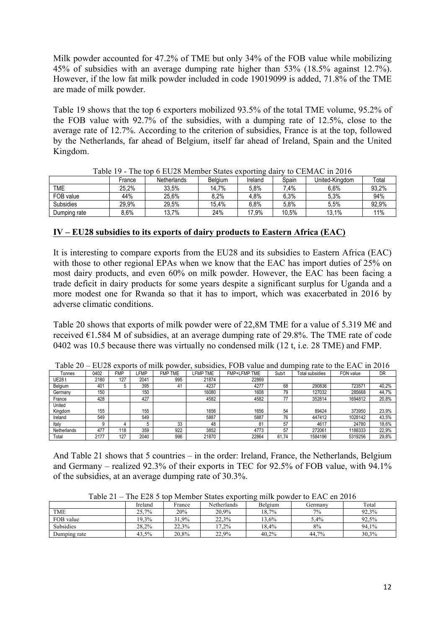Milk powder accounted for 47.2% of TME but only 34% of the FOB value while mobilizing 45% of subsidies with an average dumping rate higher than 53% (18.5% against 12.7%). However, if the low fat milk powder included in code 19019099 is added, 71.8% of the TME are made of milk powder.

Table 19 shows that the top 6 exporters mobilized 93.5% of the total TME volume, 95.2% of the FOB value with 92.7% of the subsidies, with a dumping rate of 12.5%, close to the average rate of 12.7%. According to the criterion of subsidies, France is at the top, followed by the Netherlands, far ahead of Belgium, itself far ahead of Ireland, Spain and the United Kingdom.

| 1999 I J         |        | THE RUD O LIGHT MILLION DRIVE VILOUITIE WALL |                |         |        |                |       |
|------------------|--------|----------------------------------------------|----------------|---------|--------|----------------|-------|
|                  | France | Netherlands                                  | <b>Belaium</b> | Ireland | Spain  | United-Kinadom | Total |
| TME              | 25.2%  | 33.5%                                        | 14.7%          | 5.8%    | $.4\%$ | 6.6%           | 93,2% |
| FOB value        | 44%    | 25.6%                                        | 8.2%           | 4.8%    | 6.3%   | 5,3%           | 94%   |
| <b>Subsidies</b> | 29.9%  | 29,5%                                        | 15,4%          | 6.8%    | 5.8%   | 5.5%           | 92,9% |
| Dumping rate     | 8.6%   | 13,7%                                        | 24%            | 17,9%   | 10,5%  | 13,1%          | 11%   |

Table 19 - The top 6 EU28 Member States exporting dairy to CEMAC in 2016

#### **IV – EU28 subsidies to its exports of dairy products to Eastern Africa (EAC)**

It is interesting to compare exports from the EU28 and its subsidies to Eastern Africa (EAC) with those to other regional EPAs when we know that the EAC has import duties of 25% on most dairy products, and even 60% on milk powder. However, the EAC has been facing a trade deficit in dairy products for some years despite a significant surplus for Uganda and a more modest one for Rwanda so that it has to import, which was exacerbated in 2016 by adverse climatic conditions.

Table 20 shows that exports of milk powder were of 22,8M TME for a value of 5.319 M $\epsilon$  and received  $\epsilon$ 1.584 M of subsidies, at an average dumping rate of 29.8%. The TME rate of code 0402 was 10.5 because there was virtually no condensed milk (12 t, i.e. 28 TME) and FMP.

|             |                 |            |      |                          |                 |                     |          | ັ                      |           |           |
|-------------|-----------------|------------|------|--------------------------|-----------------|---------------------|----------|------------------------|-----------|-----------|
| Tonnes      | 0402            | <b>FMP</b> | ∟FMP | <b>FMP</b><br><b>TME</b> | <b>LFMP TME</b> | <b>FMP+LFMP TME</b> | Sub/t    | <b>Total subsidies</b> | FON value | <b>DR</b> |
| UE28 t      | 2180            | 127        | 2041 | 995                      | 21874           | 22869               |          |                        |           |           |
| Belgium     | 40 <sup>4</sup> |            | 395  | 41                       | 4237            | 4277                | 68       | 290836                 | 72357     | 40,2%     |
| Germany     | 150             |            | 150  |                          | 16080           | 1608                | 79       | 127032                 | 285668    | 44,7%     |
| France      | 428             |            | 427  |                          | 4582            | 4582                | 77       | 352814                 | 1694812   | 20,8%     |
| United      |                 |            |      |                          |                 |                     |          |                        |           |           |
| Kingdom     | 155             |            | 155  |                          | 1656            | 1656                | 54       | 89424                  | 373950    | 23,9%     |
| Ireland     | 549             |            | 549  |                          | 5887            | 5887                | 76       | 447412                 | 1028142   | 43,5%     |
| Italy       |                 |            |      | 33                       | 48              | 81                  | 57       | 4617                   | 24780     | 18,6%     |
| Netherlands | 477             | 118        | 359  | 922                      | 3852            | 4773                | 57       | 272061                 | 1188333   | 22,9%     |
| Total       | 2177            | 127        | 2040 | 996                      | 21870           | 22864               | 74<br>61 | 1584196                | 5319256   | 29.8%     |

Table  $20 - EU28$  exports of milk powder, subsidies, FOB value and dumping rate to the EAC in 2016

And Table 21 shows that 5 countries – in the order: Ireland, France, the Netherlands, Belgium and Germany – realized 92.3% of their exports in TEC for 92.5% of FOB value, with 94.1% of the subsidies, at an average dumping rate of 30.3%.

|              | Ireland  | France | Netherlands | Belgium  | Germanv | Total |
|--------------|----------|--------|-------------|----------|---------|-------|
| <b>TME</b>   | 25.7%    | 20%    | 20,9%       | 18,7%    | 7%      | 92.3% |
| FOB value    | $19.3\%$ | 31,9%  | 22.3%       | $13.6\%$ | 5,4%    | 92.5% |
| Subsidies    | 28.2%    | 22.3%  | $1.2\%$     | 18.4%    | 8%      | 94.1% |
| Dumping rate | 43,5%    | 20,8%  | 22,9%       | 40.2%    | 44.7%   | 30,3% |

Table 21 – The E28 5 top Member States exporting milk powder to EAC en 2016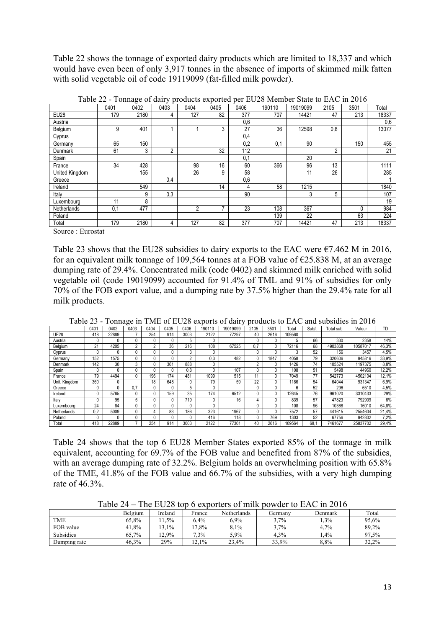Table 22 shows the tonnage of exported dairy products which are limited to 18,337 and which would have even been of only 3,917 tonnes in the absence of imports of skimmed milk fatten with solid vegetable oil of code 19119099 (fat-filled milk powder).

|                | 0401 | ັ<br>0402 | J 1<br>0403 | 0404 | 0405 | 0406 | 190110 | 19019099 | 2105 | 3501 | Total |
|----------------|------|-----------|-------------|------|------|------|--------|----------|------|------|-------|
| <b>EU28</b>    | 179  | 2180      | 4           | 127  | 82   | 377  | 707    | 14421    | 47   | 213  | 18337 |
| Austria        |      |           |             |      |      | 0,6  |        |          |      |      | 0,6   |
| Belgium        | 9    | 401       |             |      | 3    | 27   | 36     | 12598    | 0,8  |      | 13077 |
| Cyprus         |      |           |             |      |      | 0,4  |        |          |      |      |       |
| Germany        | 65   | 150       |             |      |      | 0,2  | 0,1    | 90       |      | 150  | 455   |
| Denmark        | 61   | 3         | 2           |      | 32   | 112  |        |          | 2    |      | 21    |
| Spain          |      |           |             |      |      | 0,1  |        | 20       |      |      |       |
| France         | 34   | 428       |             | 98   | 16   | 60   | 366    | 96       | 13   |      | 1111  |
| United Kingdom |      | 155       |             | 26   | 9    | 58   |        | 11       | 26   |      | 285   |
| Greece         |      |           | 0,4         |      |      | 0,6  |        |          |      |      |       |
| Ireland        |      | 549       |             |      | 14   | 4    | 58     | 1215     |      |      | 1840  |
| Italy          |      | 9         | 0,3         |      |      | 90   |        | 3        | 5    |      | 107   |
| Luxembourg     | 11   | 8         |             |      |      |      |        |          |      |      | 19    |
| Netherlands    | 0,1  | 477       |             | 2    | 7    | 23   | 108    | 367      |      | 0    | 984   |
| Poland         |      |           |             |      |      |      | 139    | 22       |      | 63   | 224   |
| Total          | 179  | 2180      | 4           | 127  | 82   | 377  | 707    | 14421    | 47   | 213  | 18337 |

Table 22 - Tonnage of dairy products exported per EU28 Member State to EAC in 2016

Source : Eurostat

Table 23 shows that the EU28 subsidies to dairy exports to the EAC were  $\epsilon$ 7.462 M in 2016, for an equivalent milk tonnage of 109,564 tonnes at a FOB value of  $\epsilon$ 25.838 M, at an average dumping rate of 29.4%. Concentrated milk (code 0402) and skimmed milk enriched with solid vegetable oil (code 19019099) accounted for 91.4% of TML and 91% of subsidies for only 70% of the FOB export value, and a dumping rate by 37.5% higher than the 29.4% rate for all milk products.

|               | 0401 | 0402  | 0403           | 0404           | 0405     | 0406 | 190110 | 19019099 | 2105 | 3501 | ⊺otal  | Sub/t | Total<br>sub | Valeur   | TD    |
|---------------|------|-------|----------------|----------------|----------|------|--------|----------|------|------|--------|-------|--------------|----------|-------|
| <b>UE28</b>   | 418  | 22889 |                | 254            | 914      | 3003 | 2122   | 77297    | 40   | 2616 | 109560 |       |              |          |       |
| Austria       |      |       |                |                | 0        | 5    |        |          |      |      |        | 66    | 330          | 2358     | 14%   |
| Belgium       | 21   | 4205  | $\sim$         | $\sim$         | 36       | 216  | 108    | 67525    | 0.7  |      | 72116  | 68    | 4903868      | 10587017 | 46,3% |
| Cyprus        |      |       |                |                | $\Omega$ | 3    | 0      |          |      |      | ∩      | 52    | 156          | 3457     | 4,5%  |
| Germany       | 152  | 1575  |                |                | $\Omega$ | c    | 0.3    | 482      |      | 1847 | 4058   | 79    | 320606       | 945816   | 33,9% |
| Denmark       | 142  | 30    | $\overline{ }$ | $\overline{ }$ | 361      | 888  | 0      |          | ົ    |      | 1426   | 74    | 105524       | 197375   | 8,8%  |
| Spain         |      |       |                | 0              | 0        | 0.8  |        | 107      |      |      | 108    | 51    | 5498         | 44960    | 12,2% |
| France        | 79   | 4494  |                | 196            | 174      | 481  | 1099   | 515      |      |      | 7049   | 77    | 542773       | 4502104  | 12,1% |
| Unit. Kingdom | 360  |       |                | 18             | 648      | 0    | 79     | 59       | 22   |      | 1186   | 54    | 64044        | 931347   | 6,9%  |
| Greece        |      |       | 0.7            | 0              | $\Omega$ | 5    |        |          |      |      | 6      | 52    | 296          | 6510     | 4,5%  |
| Ireland       |      | 5765  |                |                | 159      | 35   | 174    | 6512     |      |      | 2645   | 76    | 961020       | 3310433  | 29%   |
| Italy         |      | 95    | 5              | 0              | $\Omega$ | 719  |        | 16       |      |      | 839    | 57    | 47823        | 792909   | 6%    |
| Luxembourg    | 24   | 84    |                |                | n        |      |        |          |      |      | 108    | 96    | 10368        | 16010    | 64,8% |
| Netherlands   | 0,2  | 5009  |                |                | 83       | 186  | 323    | 1967     |      |      | 7572   | 57    | 441615       | 2554604  | 21,4% |
| Poland        |      |       |                | C              | $\Omega$ |      | 416    | 118      |      | 769  | 1303   | 52    | 67756        | 942802   | 7,2%  |
| Total         | 418  | 22889 |                | 254            | 914      | 3003 | 2122   | 7730     | 40   | 2616 | 109564 | 68.1  | 7461677      | 25837702 | 29.4% |

Table 23 - Tonnage in TME of EU28 exports of dairy products to EAC and subsidies in 2016

Table 24 shows that the top 6 EU28 Member States exported 85% of the tonnage in milk equivalent, accounting for 69.7% of the FOB value and benefited from 87% of the subsidies, with an average dumping rate of 32.2%. Belgium holds an overwhelming position with 65.8% of the TME, 41.8% of the FOB value and 66.7% of the subsidies, with a very high dumping rate of 46.3%.

| ------<br>.  |         |         |         |             |         |         |       |  |  |  |  |
|--------------|---------|---------|---------|-------------|---------|---------|-------|--|--|--|--|
|              | Belgium | Ireland | France  | Netherlands | Germanv | Denmark | Total |  |  |  |  |
| <b>TME</b>   | 65.8%   | $.5\%$  | 6.4%    | $6.9\%$     | 3,7%    | $3\%$   | 95,6% |  |  |  |  |
| FOB value    | 41.8%   | 13.1%   | $7.8\%$ | 8.1%        | 3,7%    | 4.7%    | 89.2% |  |  |  |  |
| Subsidies    | 65.7%   | 2.9%    | 7.3%    | 5.9%        | 4.3%    | .4%     | 97,5% |  |  |  |  |
| Dumping rate | 46.3%   | 29%     | 12.1%   | 23.4%       | 33.9%   | 8.8%    | 32.2% |  |  |  |  |

Table 24 – The EU28 top 6 exporters of milk powder to EAC in 2016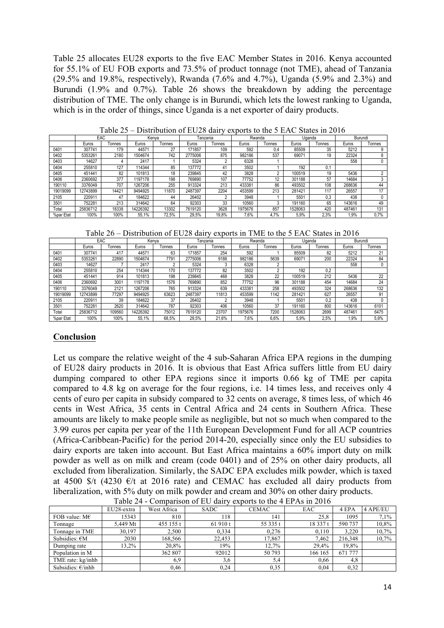Table 25 allocates EU28 exports to the five EAC Member States in 2016. Kenya accounted for 55.1% of EU FOB exports and 73.5% of product tonnage (not TME), ahead of Tanzania (29.5% and 19.8%, respectively), Rwanda (7.6% and 4.7%), Uganda (5.9% and 2.3%) and Burundi (1.9% and 0.7%). Table 26 shows the breakdown by adding the percentage distribution of TME. The only change is in Burundi, which lets the lowest ranking to Uganda, which is in the order of things, since Uganda is a net exporter of dairy products.

|           | EAC      |        | Kenva    |        | Tanzania |        | Rwanda  |        | Uganda  |        | Burundi |        |
|-----------|----------|--------|----------|--------|----------|--------|---------|--------|---------|--------|---------|--------|
|           | Euros    | Tonnes | Euros    | Tonnes | Euros    | Tonnes | Euros   | Tonnes | Euros   | Tonnes | Euros   | Tonnes |
| 0401      | 307741   | 179    | 4457     | 27     | 171857   | 109    | 592     | 0.4    | 85509   | 35     | 5212    | 9      |
| 0402      | 5353261  | 2180   | 1504674  | 742    | 2775006  | 875    | 982186  | 537    | 69071   | 19     | 22324   | 8      |
| 0403      | 14627    |        | 2417     |        | 5324     | $\sim$ | 6328    |        |         |        | 558     | 0      |
| 0404      | 255810   | 127    | 14344    | 85     | 137772   | 41     | 3502    |        | 192     | 0.1    |         |        |
| 0405      | 451441   | 82     | 101813   | 18     | 239845   | 42     | 3828    |        | 100519  | 19     | 5436    |        |
| 0406      | 2360692  | 377    | 1197178  | 198    | 769890   | 107    | 77752   | 12     | 301188  | 57     | 14684   |        |
| 190110    | 3376049  | 707    | 1267206  | 255    | 913324   | 213    | 433381  | 86     | 493502  | 108    | 268636  | 44     |
| 19019099  | 12743899 | 14421  | 9494925  | 11870  | 2487397  | 2204   | 453599  | 213    | 281421  | 117    | 26557   | 17     |
| 2105      | 220911   | 47     | 184622   | 44     | 26402    |        | 3948    |        | 5501    | 0,3    | 438     |        |
| 3501      | 752281   | 213    | 314642   | 64     | 92303    | 33     | 10560   | 3      | 191160  | 65     | 143616  | 49     |
| Total     | 25836712 | 18338  | 14226392 | 13302  | 7619120  | 3628   | 1975676 | 857    | 1528063 | 420    | 487461  | 131    |
| %par Etat | 100%     | 100%   | 55.1%    | 72.5%  | 29.5%    | 19.8%  | 7,6%    | 4.7%   | 5.9%    | 2,3%   | 1,9%    | 0.7%   |

Table 25 – Distribution of EU28 dairy exports to the 5 EAC States in 2016

Table 26 – Distribution of EU28 dairy exports in TME to the 5 EAC States in 2016

|           | EAC      |        | Kenva    |        | Tanzania |        | Rwanda  |          | Uganda  |        | Burundi |        |
|-----------|----------|--------|----------|--------|----------|--------|---------|----------|---------|--------|---------|--------|
|           | Euros    | Tonnes | Euros    | Tonnes | Euros    | Tonnes | Euros   | Tonnes   | Euros   | Tonnes | Euros   | Tonnes |
| 0401      | 307741   | 417    | 44571    | 63     | 171857   | 254    | 592     |          | 85509   | 82     | 5212    | 21     |
| 0402      | 5353261  | 22890  | 1504674  | 7791   | 2775006  | 9188   | 982186  | 5639     | 69071   | 200    | 22324   | 84     |
| 0403      | 14627    |        | 2417     |        | 5324     |        | 6328    | $\Omega$ |         |        | 558     |        |
| 0404      | 255810   | 254    | 114344   | 170    | 137772   | 82     | 3502    |          | 192     | 0,2    |         |        |
| 0405      | 451441   | 914    | 101813   | 198    | 239845   | 468    | 3828    | 22       | 100519  | 212    | 5436    | 22     |
| 0406      | 2360692  | 3001   | 1197178  | 1576   | 769890   | 852    | 77752   | 96       | 301188  | 454    | 14684   | 24     |
| 190110    | 3376049  | 2121   | 1267206  | 765    | 913324   | 639    | 433381  | 258      | 493502  | 324    | 268636  | 132    |
| 19019099  | 12743899 | 77297  | 9494925  | 63623  | 2487397  | 11813  | 453599  | 1142     | 281421  | 627    | 26557   | 91     |
| 2105      | 220911   | 39     | 184622   | 37     | 26402    |        | 3948    |          | 5501    | 0.2    | 438     |        |
| 3501      | 752281   | 2620   | 314642   | 787    | 92303    | 406    | 10560   | 37       | 191160  | 800    | 143616  | 6101   |
| Total     | 25836712 | 109560 | 14226392 | 75012  | 7619120  | 23707  | 1975676 | 7200     | 1528063 | 2699   | 487461  | 6475   |
| %par Etat | 100%     | 100%   | 55.1%    | 68.5%  | 29,5%    | 21.6%  | 7,6%    | 6,6%     | 5,9%    | 2,5%   | 1,9%    | 5,9%   |

#### **Conclusion**

Let us compare the relative weight of the 4 sub-Saharan Africa EPA regions in the dumping of EU28 dairy products in 2016. It is obvious that East Africa suffers little from EU dairy dumping compared to other EPA regions since it imports 0.66 kg of TME per capita compared to 4.8 kg on average for the four regions, i.e. 14 times less, and receives only 4 cents of euro per capita in subsidy compared to 32 cents on average, 8 times less, of which 46 cents in West Africa, 35 cents in Central Africa and 24 cents in Southern Africa. These amounts are likely to make people smile as negligible, but not so much when compared to the 3.99 euros per capita per year of the 11th European Development Fund for all ACP countries (Africa-Caribbean-Pacific) for the period 2014-20, especially since only the EU subsidies to dairy exports are taken into account. But East Africa maintains a 60% import duty on milk powder as well as on milk and cream (code 0401) and of 25% on other dairy products, all excluded from liberalization. Similarly, the SADC EPA excludes milk powder, which is taxed at 4500 \$/t (4230  $\epsilon$ /t at 2016 rate) and CEMAC has excluded all dairy products from liberalization, with 5% duty on milk powder and cream and 30% on other dairy products.

|                         | EU28-extra | West Africa | <b>SADC</b> | <b>CEMAC</b> | EAC      | 4 EPA   | 4 APE/EU |
|-------------------------|------------|-------------|-------------|--------------|----------|---------|----------|
| FOB value: $M\epsilon$  | 15343      | 810         | 118         | 141          | 25,8     | 1095    | 7.1%     |
| Tonnage                 | 5.449 Mt   | 455 155 t   | 61 910 t    | 55 335 t     | 18 337 t | 590 737 | 10,8%    |
| Tonnage in TME          | 30,197     | 2.500       | 0.334       | 0.276        | 0.110    | 3.220   | 10,7%    |
| Subsidies: $\epsilon M$ | 2030       | 168,566     | 22.453      | 17,867       | 7,462    | 216.348 | 10,7%    |
| Dumping rate            | 13.2%      | 20,8%       | 19%         | 12.7%        | 29.4%    | 19,8%   |          |
| Population in M         |            | 362 807     | 92012       | 50 793       | 166 165  | 671 777 |          |
| TME rate: kg/inhb       |            | 6.9         | 3,6         | 5.4          | 0.66     | 4,8     |          |
| Subsidies: $E/inhb$     |            | 0,46        | 0.24        | 0.35         | 0.04     | 0,32    |          |

Table 24 - Comparison of EU dairy exports to the 4 EPAs in 2016